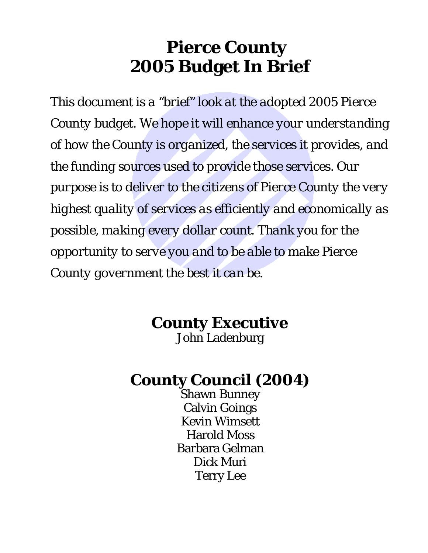# **Pierce County 2005 Budget In Brief**

*This document is a "brief" look at the adopted 2005 Pierce County budget. We hope it will enhance your understanding of how the County is organized, the services it provides, and the funding sources used to provide those services. Our purpose is to deliver to the citizens of Pierce County the very highest quality of services as efficiently and economically as possible, making every dollar count. Thank you for the opportunity to serve you and to be able to make Pierce County government the best it can be.*

# **County Executive**

John Ladenburg

# **County Council (2004)**

Shawn Bunney Calvin Goings Kevin Wimsett Harold Moss Barbara Gelman Dick Muri Terry Lee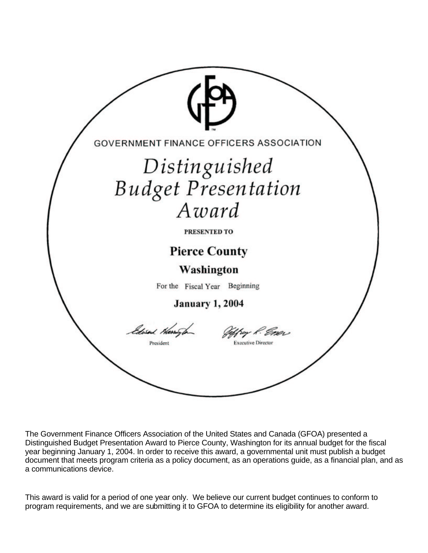

The Government Finance Officers Association of the United States and Canada (GFOA) presented a Distinguished Budget Presentation Award to Pierce County, Washington for its annual budget for the fiscal year beginning January 1, 2004. In order to receive this award, a governmental unit must publish a budget document that meets program criteria as a policy document, as an operations guide, as a financial plan, and as a communications device.

This award is valid for a period of one year only. We believe our current budget continues to conform to program requirements, and we are submitting it to GFOA to determine its eligibility for another award.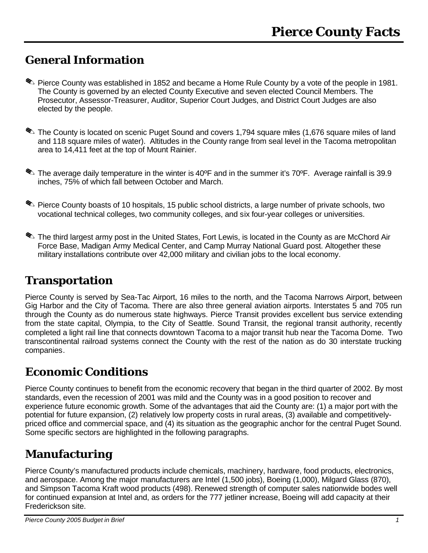## **General Information**

- . Pierce County was established in 1852 and became a Home Rule County by a vote of the people in 1981. The County is governed by an elected County Executive and seven elected Council Members. The Prosecutor, Assessor-Treasurer, Auditor, Superior Court Judges, and District Court Judges are also elected by the people.
- **I.** The County is located on scenic Puget Sound and covers 1,794 square miles (1,676 square miles of land and 118 square miles of water). Altitudes in the County range from seal level in the Tacoma metropolitan area to 14,411 feet at the top of Mount Rainier.
- The average daily temperature in the winter is 40°F and in the summer it's 70°F. Average rainfall is 39.9 inches, 75% of which fall between October and March.
- **E.** Pierce County boasts of 10 hospitals, 15 public school districts, a large number of private schools, two vocational technical colleges, two community colleges, and six four-year colleges or universities.
- **I.** The third largest army post in the United States, Fort Lewis, is located in the County as are McChord Air Force Base, Madigan Army Medical Center, and Camp Murray National Guard post. Altogether these military installations contribute over 42,000 military and civilian jobs to the local economy.

### **Transportation**

Pierce County is served by Sea-Tac Airport, 16 miles to the north, and the Tacoma Narrows Airport, between Gig Harbor and the City of Tacoma. There are also three general aviation airports. Interstates 5 and 705 run through the County as do numerous state highways. Pierce Transit provides excellent bus service extending from the state capital, Olympia, to the City of Seattle. Sound Transit, the regional transit authority, recently completed a light rail line that connects downtown Tacoma to a major transit hub near the Tacoma Dome. Two transcontinental railroad systems connect the County with the rest of the nation as do 30 interstate trucking companies.

# **Economic Conditions**

Pierce County continues to benefit from the economic recovery that began in the third quarter of 2002. By most standards, even the recession of 2001 was mild and the County was in a good position to recover and experience future economic growth. Some of the advantages that aid the County are: (1) a major port with the potential for future expansion, (2) relatively low property costs in rural areas, (3) available and competitivelypriced office and commercial space, and (4) its situation as the geographic anchor for the central Puget Sound. Some specific sectors are highlighted in the following paragraphs.

# **Manufacturing**

Pierce County's manufactured products include chemicals, machinery, hardware, food products, electronics, and aerospace. Among the major manufacturers are Intel (1,500 jobs), Boeing (1,000), Milgard Glass (870), and Simpson Tacoma Kraft wood products (498). Renewed strength of computer sales nationwide bodes well for continued expansion at Intel and, as orders for the 777 jetliner increase, Boeing will add capacity at their Frederickson site.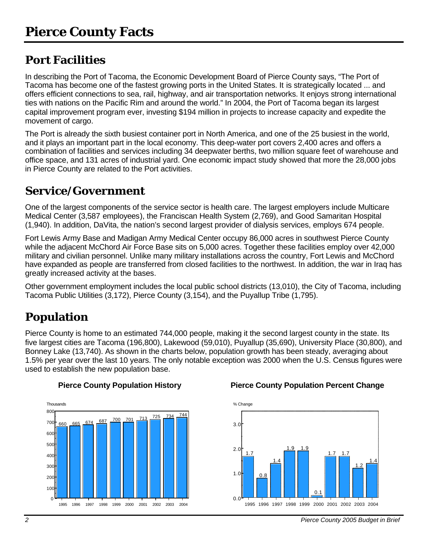# **Port Facilities**

In describing the Port of Tacoma, the Economic Development Board of Pierce County says, "The Port of Tacoma has become one of the fastest growing ports in the United States. It is strategically located ... and offers efficient connections to sea, rail, highway, and air transportation networks. It enjoys strong international ties with nations on the Pacific Rim and around the world." In 2004, the Port of Tacoma began its largest capital improvement program ever, investing \$194 million in projects to increase capacity and expedite the movement of cargo.

The Port is already the sixth busiest container port in North America, and one of the 25 busiest in the world, and it plays an important part in the local economy. This deep-water port covers 2,400 acres and offers a combination of facilities and services including 34 deepwater berths, two million square feet of warehouse and office space, and 131 acres of industrial yard. One economic impact study showed that more the 28,000 jobs in Pierce County are related to the Port activities.

# **Service/Government**

One of the largest components of the service sector is health care. The largest employers include Multicare Medical Center (3,587 employees), the Franciscan Health System (2,769), and Good Samaritan Hospital (1,940). In addition, DaVita, the nation's second largest provider of dialysis services, employs 674 people.

Fort Lewis Army Base and Madigan Army Medical Center occupy 86,000 acres in southwest Pierce County while the adiacent McChord Air Force Base sits on 5,000 acres. Together these facilities employ over 42,000 military and civilian personnel. Unlike many military installations across the country, Fort Lewis and McChord have expanded as people are transferred from closed facilities to the northwest. In addition, the war in Iraq has greatly increased activity at the bases.

Other government employment includes the local public school districts (13,010), the City of Tacoma, including Tacoma Public Utilities (3,172), Pierce County (3,154), and the Puyallup Tribe (1,795).

# **Population**

Pierce County is home to an estimated 744,000 people, making it the second largest county in the state. Its five largest cities are Tacoma (196,800), Lakewood (59,010), Puyallup (35,690), University Place (30,800), and Bonney Lake (13,740). As shown in the charts below, population growth has been steady, averaging about 1.5% per year over the last 10 years. The only notable exception was 2000 when the U.S. Census figures were used to establish the new population base.



### **Pierce County Population History Pierce County Population Percent Change**



*2 Pierce County 2005 Budget in Brief*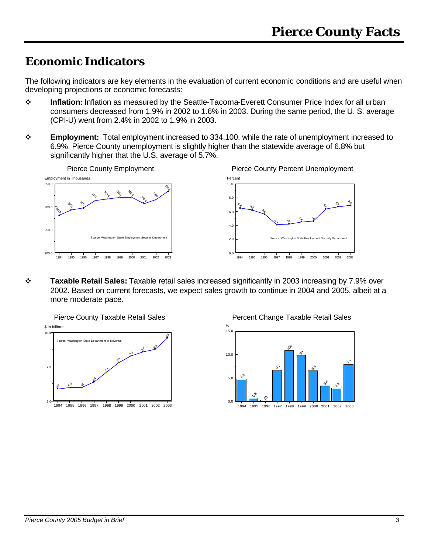# **Economic Indicators**

The following indicators are key elements in the evaluation of current economic conditions and are useful when developing projections or economic forecasts:

- v **Inflation:** Inflation as measured by the Seattle-Tacoma-Everett Consumer Price Index for all urban consumers decreased from 1.9% in 2002 to 1.6% in 2003. During the same period, the U. S. average (CPI-U) went from 2.4% in 2002 to 1.9% in 2003.
- v **Employment:** Total employment increased to 334,100, while the rate of unemployment increased to 6.9%. Pierce County unemployment is slightly higher than the statewide average of 6.8% but significantly higher that the U.S. average of 5.7%.



v **Taxable Retail Sales:** Taxable retail sales increased significantly in 2003 increasing by 7.9% over 2002. Based on current forecasts, we expect sales growth to continue in 2004 and 2005, albeit at a more moderate pace.

Pierce County Taxable Retail Sales 5.9  $\mathcal{S}^{\circ}$ & oे. ∕^ <u>ላይ</u> 82  $e^6$ 8 9.6 1994 1995 1996 1997 1998 1999 2000 2001 2002 2003 5.0 7.5 10.0 \$ in billions Source: Washington State Department of Revenue



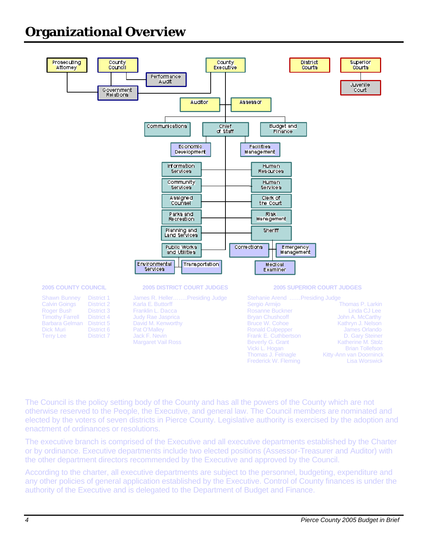# **Organizational Overview**



The Council is the policy setting body of the County and has all the powers of the County which are not otherwise reserved to the People, the Executive, and general law. The Council members are nominated and elected by the voters of seven districts in Pierce County. Legislative authority is exercised by the adoption and enactment of ordinances or resolutions.

The executive branch is comprised of the Executive and all executive departments established by the Charter or by ordinance. Executive departments include two elected positions (Assessor-Treasurer and Auditor) with the other department directors recommended by the Executive and approved by the Council.

According to the charter, all executive departments are subject to the personnel, budgeting, expenditure and any other policies of general application established by the Executive. Control of County finances is under the authority of the Executive and is delegated to the Department of Budget and Finance.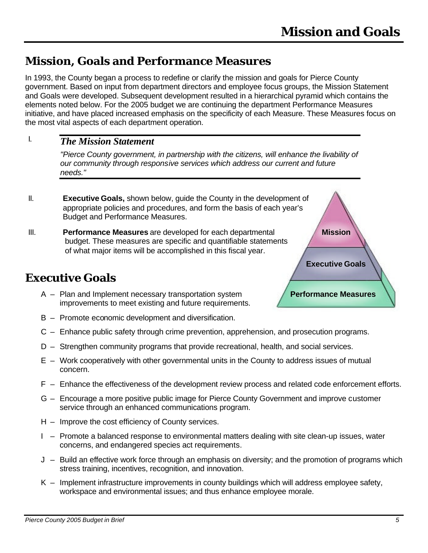## **Mission, Goals and Performance Measures**

In 1993, the County began a process to redefine or clarify the mission and goals for Pierce County government. Based on input from department directors and employee focus groups, the Mission Statement and Goals were developed. Subsequent development resulted in a hierarchical pyramid which contains the elements noted below. For the 2005 budget we are continuing the department Performance Measures initiative, and have placed increased emphasis on the specificity of each Measure. These Measures focus on the most vital aspects of each department operation.

#### *The Mission Statement* I.

*"Pierce County government, in partnership with the citizens, will enhance the livability of our community through responsive services which address our current and future needs."*

- II. **Executive Goals,** shown below, guide the County in the development of appropriate policies and procedures, and form the basis of each year's Budget and Performance Measures.
- III. **Performance Measures** are developed for each departmental budget. These measures are specific and quantifiable statements of what major items will be accomplished in this fiscal year.

### **Executive Goals**

- A Plan and Implement necessary transportation system improvements to meet existing and future requirements.
- B Promote economic development and diversification.
- C Enhance public safety through crime prevention, apprehension, and prosecution programs.
- D Strengthen community programs that provide recreational, health, and social services.
- E Work cooperatively with other governmental units in the County to address issues of mutual concern.
- F Enhance the effectiveness of the development review process and related code enforcement efforts.
- G Encourage a more positive public image for Pierce County Government and improve customer service through an enhanced communications program.
- H Improve the cost efficiency of County services.
- I Promote a balanced response to environmental matters dealing with site clean-up issues, water concerns, and endangered species act requirements.
- J Build an effective work force through an emphasis on diversity; and the promotion of programs which stress training, incentives, recognition, and innovation.
- $K -$  Implement infrastructure improvements in county buildings which will address employee safety, workspace and environmental issues; and thus enhance employee morale.



**Performance Measures**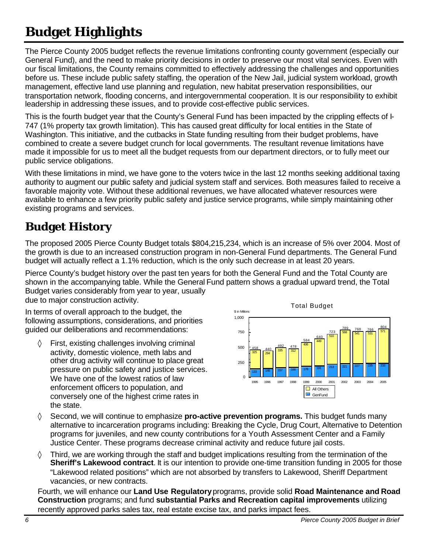# **Budget Highlights**

The Pierce County 2005 budget reflects the revenue limitations confronting county government (especially our General Fund), and the need to make priority decisions in order to preserve our most vital services. Even with our fiscal limitations, the County remains committed to effectively addressing the challenges and opportunities before us. These include public safety staffing, the operation of the New Jail, judicial system workload, growth management, effective land use planning and regulation, new habitat preservation responsibilities, our transportation network, flooding concerns, and intergovernmental cooperation. It is our responsibility to exhibit leadership in addressing these issues, and to provide cost-effective public services.

This is the fourth budget year that the County's General Fund has been impacted by the crippling effects of I-747 (1% property tax growth limitation). This has caused great difficulty for local entities in the State of Washington. This initiative, and the cutbacks in State funding resulting from their budget problems, have combined to create a severe budget crunch for local governments. The resultant revenue limitations have made it impossible for us to meet all the budget requests from our department directors, or to fully meet our public service obligations.

With these limitations in mind, we have gone to the voters twice in the last 12 months seeking additional taxing authority to augment our public safety and judicial system staff and services. Both measures failed to receive a favorable majority vote. Without these additional revenues, we have allocated whatever resources were available to enhance a few priority public safety and justice service programs, while simply maintaining other existing programs and services.

# **Budget History**

The proposed 2005 Pierce County Budget totals \$804,215,234, which is an increase of 5% over 2004. Most of the growth is due to an increased construction program in non-General Fund departments. The General Fund budget will actually reflect a 1.1% reduction, which is the only such decrease in at least 20 years.

Pierce County's budget history over the past ten years for both the General Fund and the Total County are shown in the accompanying table. While the General Fund pattern shows a gradual upward trend, the Total Budget varies considerably from year to year, usually due to major construction activity.

In terms of overall approach to the budget, the following assumptions, considerations, and priorities guided our deliberations and recommendations:

◊ First, existing challenges involving criminal activity, domestic violence, meth labs and other drug activity will continue to place great pressure on public safety and justice services. We have one of the lowest ratios of law enforcement officers to population, and conversely one of the highest crime rates in the state.



- ◊ Second, we will continue to emphasize **pro-active prevention programs.** This budget funds many alternative to incarceration programs including: Breaking the Cycle, Drug Court, Alternative to Detention programs for juveniles, and new county contributions for a Youth Assessment Center and a Family Justice Center. These programs decrease criminal activity and reduce future jail costs.
- $\Diamond$  Third, we are working through the staff and budget implications resulting from the termination of the **Sheriff's Lakewood contract**. It is our intention to provide one-time transition funding in 2005 for those "Lakewood related positions" which are not absorbed by transfers to Lakewood, Sheriff Department vacancies, or new contracts.

Fourth, we will enhance our **Land Use Regulatory** programs, provide solid **Road Maintenance and Road Construction** programs; and fund **substantial Parks and Recreation capital improvements** utilizing recently approved parks sales tax, real estate excise tax, and parks impact fees.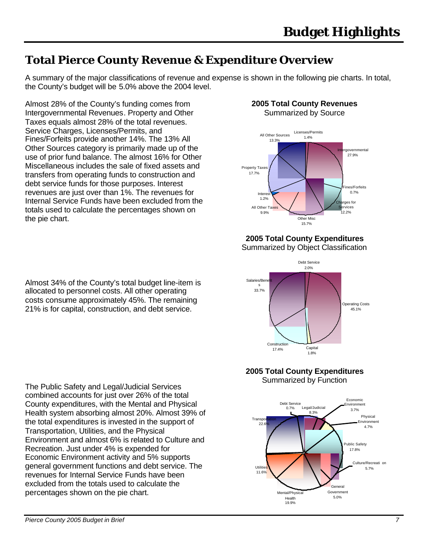# **Total Pierce County Revenue & Expenditure Overview**

A summary of the major classifications of revenue and expense is shown in the following pie charts. In total, the County's budget will be 5.0% above the 2004 level.

Almost 28% of the County's funding comes from Intergovernmental Revenues. Property and Other Taxes equals almost 28% of the total revenues. Service Charges, Licenses/Permits, and Fines/Forfeits provide another 14%. The 13% All Other Sources category is primarily made up of the use of prior fund balance. The almost 16% for Other Miscellaneous includes the sale of fixed assets and transfers from operating funds to construction and debt service funds for those purposes. Interest revenues are just over than 1%. The revenues for Internal Service Funds have been excluded from the totals used to calculate the percentages shown on the pie chart.

Almost 34% of the County's total budget line-item is allocated to personnel costs. All other operating costs consume approximately 45%. The remaining 21% is for capital, construction, and debt service.

The Public Safety and Legal/Judicial Services combined accounts for just over 26% of the total County expenditures, with the Mental and Physical Health system absorbing almost 20%. Almost 39% of the total expenditures is invested in the support of Transportation, Utilities, and the Physical Environment and almost 6% is related to Culture and Recreation. Just under 4% is expended for Economic Environment activity and 5% supports general government functions and debt service. The revenues for Internal Service Funds have been excluded from the totals used to calculate the percentages shown on the pie chart.

# **2005 Total County Revenues**





**2005 Total County Expenditures**

Summarized by Object Classification



### **2005 Total County Expenditures** Summarized by Function

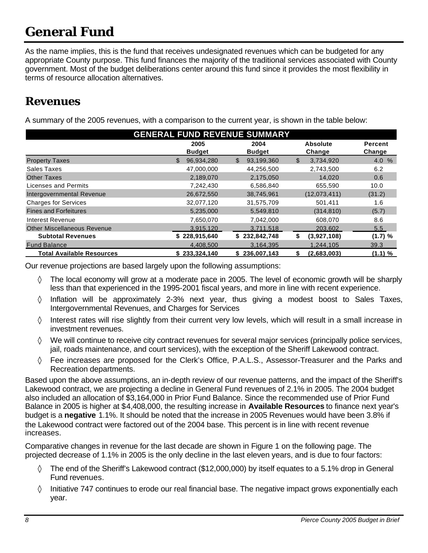# **General Fund**

As the name implies, this is the fund that receives undesignated revenues which can be budgeted for any appropriate County purpose. This fund finances the majority of the traditional services associated with County government. Most of the budget deliberations center around this fund since it provides the most flexibility in terms of resource allocation alternatives.

### **Revenues**

A summary of the 2005 revenues, with a comparison to the current year, is shown in the table below:

| <b>GENERAL FUND REVENUE SUMMARY</b> |                            |                            |                  |                |
|-------------------------------------|----------------------------|----------------------------|------------------|----------------|
|                                     | 2005                       | 2004                       | <b>Absolute</b>  | <b>Percent</b> |
|                                     | <b>Budget</b>              | <b>Budget</b>              | Change           | Change         |
| <b>Property Taxes</b>               | $\mathbb{S}$<br>96,934,280 | 93,199,360<br>$\mathbb{S}$ | 3,734,920<br>\$  | 4.0 %          |
| Sales Taxes                         | 47,000,000                 | 44,256,500                 | 2,743,500        | 6.2            |
| <b>Other Taxes</b>                  | 2,189,070                  | 2,175,050                  | 14.020           | 0.6            |
| Licenses and Permits                | 7,242,430                  | 6,586,840                  | 655,590          | 10.0           |
| Intergovernmental Revenue           | 26,672,550                 | 38,745,961                 | (12,073,411)     | (31.2)         |
| <b>Charges for Services</b>         | 32,077,120                 | 31,575,709                 | 501,411          | 1.6            |
| <b>Fines and Forfeitures</b>        | 5,235,000                  | 5,549,810                  | (314, 810)       | (5.7)          |
| Interest Revenue                    | 7,650,070                  | 7,042,000                  | 608,070          | 8.6            |
| <b>Other Miscellaneous Revenue</b>  | 3,915,120                  | 3,711,518                  | 203,602          | 5.5            |
| <b>Subtotal Revenues</b>            | \$228,915,640              | \$232,842,748              | (3,927,108)<br>S | (1.7) %        |
| <b>Fund Balance</b>                 | 4,408,500                  | 3,164,395                  | 1,244,105        | 39.3           |
| <b>Total Available Resources</b>    | \$233,324,140              | \$236,007,143              | (2,683,003)      | (1.1) %        |

Our revenue projections are based largely upon the following assumptions:

- $\Diamond$  The local economy will grow at a moderate pace in 2005. The level of economic growth will be sharply less than that experienced in the 1995-2001 fiscal years, and more in line with recent experience.
- ◊ Inflation will be approximately 2-3% next year, thus giving a modest boost to Sales Taxes, Intergovernmental Revenues, and Charges for Services
- ◊ Interest rates will rise slightly from their current very low levels, which will result in a small increase in investment revenues.
- ◊ We will continue to receive city contract revenues for several major services (principally police services, jail, roads maintenance, and court services), with the exception of the Sheriff Lakewood contract.
- ◊ Fee increases are proposed for the Clerk's Office, P.A.L.S., Assessor-Treasurer and the Parks and Recreation departments.

Based upon the above assumptions, an in-depth review of our revenue patterns, and the impact of the Sheriff's Lakewood contract, we are projecting a decline in General Fund revenues of 2.1% in 2005. The 2004 budget also included an allocation of \$3,164,000 in Prior Fund Balance. Since the recommended use of Prior Fund Balance in 2005 is higher at \$4,408,000, the resulting increase in **Available Resources** to finance next year's budget is a **negative** 1.1%. It should be noted that the increase in 2005 Revenues would have been 3.8% if the Lakewood contract were factored out of the 2004 base. This percent is in line with recent revenue increases.

Comparative changes in revenue for the last decade are shown in Figure 1 on the following page. The projected decrease of 1.1% in 2005 is the only decline in the last eleven years, and is due to four factors:

- ◊ The end of the Sheriff's Lakewood contract (\$12,000,000) by itself equates to a 5.1% drop in General Fund revenues.
- $\Diamond$  Initiative 747 continues to erode our real financial base. The negative impact grows exponentially each year.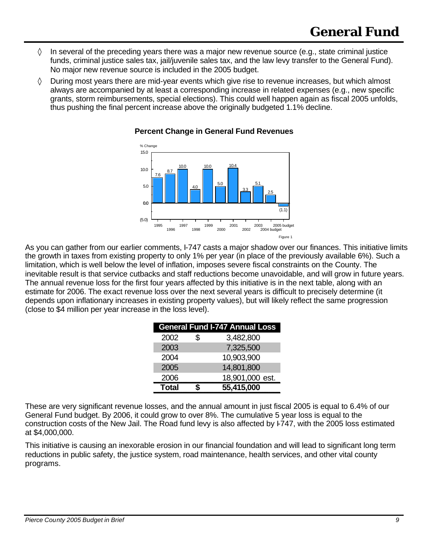- ◊ In several of the preceding years there was a major new revenue source (e.g., state criminal justice funds, criminal justice sales tax, jail/juvenile sales tax, and the law levy transfer to the General Fund). No major new revenue source is included in the 2005 budget.
- $\Diamond$  During most years there are mid-year events which give rise to revenue increases, but which almost always are accompanied by at least a corresponding increase in related expenses (e.g., new specific grants, storm reimbursements, special elections). This could well happen again as fiscal 2005 unfolds, thus pushing the final percent increase above the originally budgeted 1.1% decline.



### **Percent Change in General Fund Revenues**

As you can gather from our earlier comments, I-747 casts a major shadow over our finances. This initiative limits the growth in taxes from existing property to only 1% per year (in place of the previously available 6%). Such a limitation, which is well below the level of inflation, imposes severe fiscal constraints on the County. The inevitable result is that service cutbacks and staff reductions become unavoidable, and will grow in future years. The annual revenue loss for the first four years affected by this initiative is in the next table, along with an estimate for 2006. The exact revenue loss over the next several years is difficult to precisely determine (it depends upon inflationary increases in existing property values), but will likely reflect the same progression (close to \$4 million per year increase in the loss level).

|              | <b>General Fund I-747 Annual Loss</b> |
|--------------|---------------------------------------|
| 2002         | \$<br>3,482,800                       |
| 2003         | 7,325,500                             |
| 2004         | 10,903,900                            |
| 2005         | 14,801,800                            |
| 2006         | 18,901,000 est.                       |
| <b>Total</b> | 55,415,000                            |

These are very significant revenue losses, and the annual amount in just fiscal 2005 is equal to 6.4% of our General Fund budget. By 2006, it could grow to over 8%. The cumulative 5 year loss is equal to the construction costs of the New Jail. The Road fund levy is also affected by I-747, with the 2005 loss estimated at \$4,000,000.

This initiative is causing an inexorable erosion in our financial foundation and will lead to significant long term reductions in public safety, the justice system, road maintenance, health services, and other vital county programs.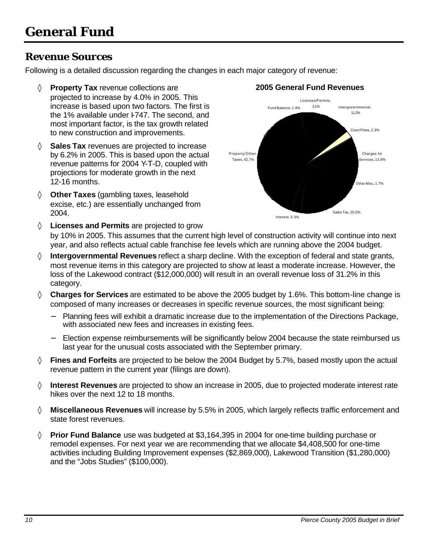### *Revenue Sources*

Following is a detailed discussion regarding the changes in each major category of revenue:

- ◊ **Property Tax** revenue collections are **2005 General Fund Revenues** projected to increase by 4.0% in 2005. This increase is based upon two factors. The first is the 1% available under I-747. The second, and most important factor, is the tax growth related to new construction and improvements.
- ◊ **Sales Tax** revenues are projected to increase by 6.2% in 2005. This is based upon the actual revenue patterns for 2004 Y-T-D, coupled with projections for moderate growth in the next 12-16 months.
- ◊ **Other Taxes** (gambling taxes, leasehold excise, etc.) are essentially unchanged from 2004.

◊ **Licenses and Permits** are projected to grow



by 10% in 2005. This assumes that the current high level of construction activity will continue into next year, and also reflects actual cable franchise fee levels which are running above the 2004 budget.

- ◊ **Intergovernmental Revenues** reflect a sharp decline. With the exception of federal and state grants, most revenue items in this category are projected to show at least a moderate increase. However, the loss of the Lakewood contract (\$12,000,000) will result in an overall revenue loss of 31.2% in this category.
- ◊ **Charges for Services** are estimated to be above the 2005 budget by 1.6%. This bottom-line change is composed of many increases or decreases in specific revenue sources, the most significant being:
	- − Planning fees will exhibit a dramatic increase due to the implementation of the Directions Package, with associated new fees and increases in existing fees.
	- Election expense reimbursements will be significantly below 2004 because the state reimbursed us last year for the unusual costs associated with the September primary.
- ◊ **Fines and Forfeits** are projected to be below the 2004 Budget by 5.7%, based mostly upon the actual revenue pattern in the current year (filings are down).
- ◊ **Interest Revenues** are projected to show an increase in 2005, due to projected moderate interest rate hikes over the next 12 to 18 months.
- ◊ **Miscellaneous Revenues** will increase by 5.5% in 2005, which largely reflects traffic enforcement and state forest revenues.
- ◊ **Prior Fund Balance** use was budgeted at \$3,164,395 in 2004 for one-time building purchase or remodel expenses. For next year we are recommending that we allocate \$4,408,500 for one-time activities including Building Improvement expenses (\$2,869,000), Lakewood Transition (\$1,280,000) and the "Jobs Studies" (\$100,000).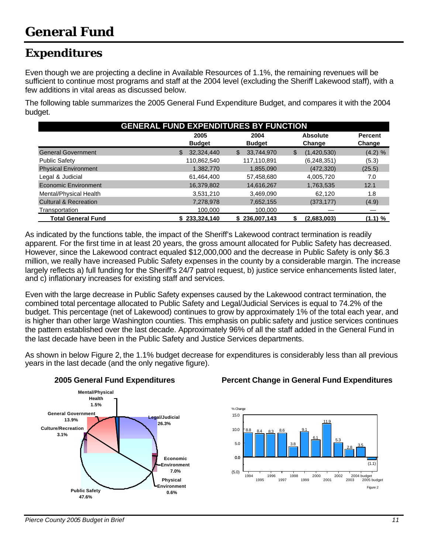# **Expenditures**

Even though we are projecting a decline in Available Resources of 1.1%, the remaining revenues will be sufficient to continue most programs and staff at the 2004 level (excluding the Sheriff Lakewood staff), with a few additions in vital areas as discussed below.

The following table summarizes the 2005 General Fund Expenditure Budget, and compares it with the 2004 budget.

| <b>GENERAL FUND EXPENDITURES BY FUNCTION</b> |                       |                            |                           |                          |
|----------------------------------------------|-----------------------|----------------------------|---------------------------|--------------------------|
|                                              | 2005<br><b>Budget</b> | 2004<br><b>Budget</b>      | <b>Absolute</b><br>Change | <b>Percent</b><br>Change |
| <b>General Government</b>                    | 32,324,440<br>\$.     | 33,744,970<br>$\mathbb{S}$ | (1,420,530)<br>S          | (4.2) %                  |
| <b>Public Safety</b>                         | 110,862,540           | 117,110,891                | (6, 248, 351)             | (5.3)                    |
| <b>Physical Environment</b>                  | 1,382,770             | 1,855,090                  | (472, 320)                | (25.5)                   |
| Legal & Judicial                             | 61,464,400            | 57,458,680                 | 4,005,720                 | 7.0                      |
| Economic Environment                         | 16,379,802            | 14,616,267                 | 1,763,535                 | 12.1                     |
| Mental/Physical Health                       | 3,531,210             | 3,469,090                  | 62.120                    | 1.8                      |
| <b>Cultural &amp; Recreation</b>             | 7,278,978             | 7,652,155                  | (373, 177)                | (4.9)                    |
| Transportation                               | 100,000               | 100,000                    |                           |                          |
| <b>Total General Fund</b>                    | 233,324,140           | \$236,007,143              | (2,683,003)               | (1.1) %                  |

As indicated by the functions table, the impact of the Sheriff's Lakewood contract termination is readily apparent. For the first time in at least 20 years, the gross amount allocated for Public Safety has decreased. However, since the Lakewood contract equaled \$12,000,000 and the decrease in Public Safety is only \$6.3 million, we really have increased Public Safety expenses in the county by a considerable margin. The increase largely reflects a) full funding for the Sheriff's 24/7 patrol request, b) justice service enhancements listed later, and c) inflationary increases for existing staff and services.

Even with the large decrease in Public Safety expenses caused by the Lakewood contract termination, the combined total percentage allocated to Public Safety and Legal/Judicial Services is equal to 74.2% of the budget. This percentage (net of Lakewood) continues to grow by approximately 1% of the total each year, and is higher than other large Washington counties. This emphasis on public safety and justice services continues the pattern established over the last decade. Approximately 96% of all the staff added in the General Fund in the last decade have been in the Public Safety and Justice Services departments.

As shown in below Figure 2, the 1.1% budget decrease for expenditures is considerably less than all previous years in the last decade (and the only negative figure).



### **2005 General Fund Expenditures Percent Change in General Fund Expenditures**

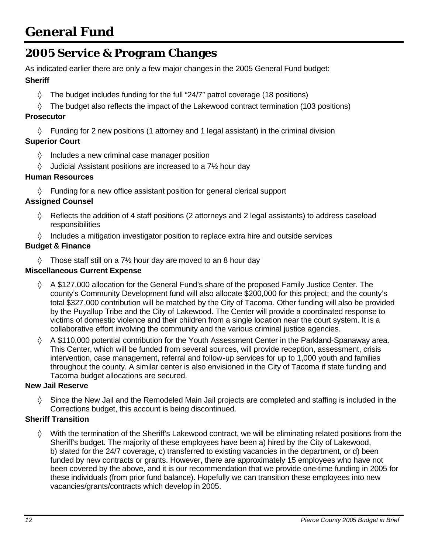# **2005 Service & Program Changes**

As indicated earlier there are only a few major changes in the 2005 General Fund budget:

### **Sheriff**

- ◊ The budget includes funding for the full "24/7" patrol coverage (18 positions)
- ◊ The budget also reflects the impact of the Lakewood contract termination (103 positions)

### **Prosecutor**

 $\Diamond$  Funding for 2 new positions (1 attorney and 1 legal assistant) in the criminal division

### **Superior Court**

- ◊ Includes a new criminal case manager position
- $\Diamond$  Judicial Assistant positions are increased to a 7 $\frac{1}{2}$  hour day

### **Human Resources**

◊ Funding for a new office assistant position for general clerical support

### **Assigned Counsel**

- $\Diamond$  Reflects the addition of 4 staff positions (2 attorneys and 2 legal assistants) to address caseload **responsibilities**
- $\Diamond$  Includes a mitigation investigator position to replace extra hire and outside services

### **Budget & Finance**

 $\Diamond$  Those staff still on a 7½ hour day are moved to an 8 hour day

### **Miscellaneous Current Expense**

- $\Diamond$  A \$127,000 allocation for the General Fund's share of the proposed Family Justice Center. The county's Community Development fund will also allocate \$200,000 for this project; and the county's total \$327,000 contribution will be matched by the City of Tacoma. Other funding will also be provided by the Puyallup Tribe and the City of Lakewood. The Center will provide a coordinated response to victims of domestic violence and their children from a single location near the court system. It is a collaborative effort involving the community and the various criminal justice agencies.
- ◊ A \$110,000 potential contribution for the Youth Assessment Center in the Parkland-Spanaway area. This Center, which will be funded from several sources, will provide reception, assessment, crisis intervention, case management, referral and follow-up services for up to 1,000 youth and families throughout the county. A similar center is also envisioned in the City of Tacoma if state funding and Tacoma budget allocations are secured.

### **New Jail Reserve**

 $\Diamond$  Since the New Jail and the Remodeled Main Jail projects are completed and staffing is included in the Corrections budget, this account is being discontinued.

### **Sheriff Transition**

◊ With the termination of the Sheriff's Lakewood contract, we will be eliminating related positions from the Sheriff's budget. The majority of these employees have been a) hired by the City of Lakewood, b) slated for the 24/7 coverage, c) transferred to existing vacancies in the department, or d) been funded by new contracts or grants. However, there are approximately 15 employees who have not been covered by the above, and it is our recommendation that we provide one-time funding in 2005 for these individuals (from prior fund balance). Hopefully we can transition these employees into new vacancies/grants/contracts which develop in 2005.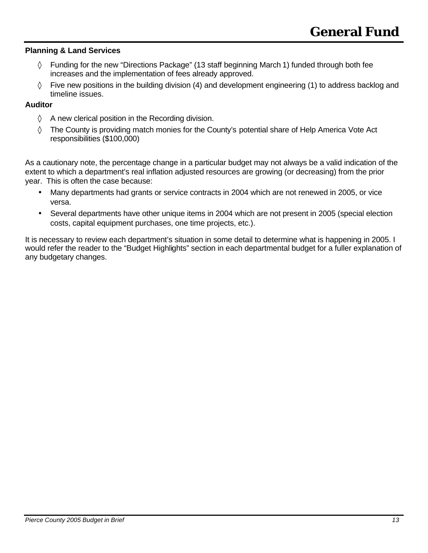### **Planning & Land Services**

- ◊ Funding for the new "Directions Package" (13 staff beginning March 1) funded through both fee increases and the implementation of fees already approved.
- $\Diamond$  Five new positions in the building division (4) and development engineering (1) to address backlog and timeline issues.

### **Auditor**

- $\Diamond$  A new clerical position in the Recording division.
- ◊ The County is providing match monies for the County's potential share of Help America Vote Act responsibilities (\$100,000)

As a cautionary note, the percentage change in a particular budget may not always be a valid indication of the extent to which a department's real inflation adjusted resources are growing (or decreasing) from the prior year. This is often the case because:

- Many departments had grants or service contracts in 2004 which are not renewed in 2005, or vice versa.
- Several departments have other unique items in 2004 which are not present in 2005 (special election costs, capital equipment purchases, one time projects, etc.).

It is necessary to review each department's situation in some detail to determine what is happening in 2005. I would refer the reader to the "Budget Highlights" section in each departmental budget for a fuller explanation of any budgetary changes.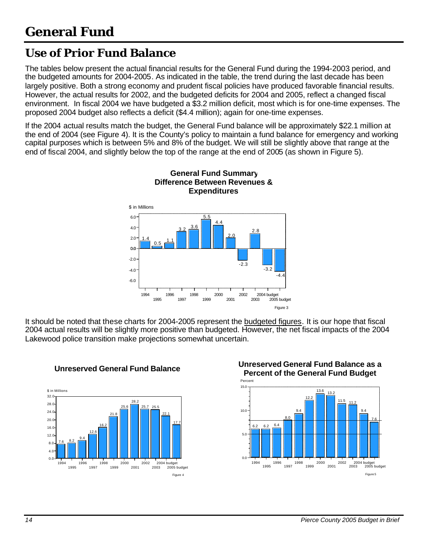# **Use of Prior Fund Balance**

The tables below present the actual financial results for the General Fund during the 1994-2003 period, and the budgeted amounts for 2004-2005. As indicated in the table, the trend during the last decade has been largely positive. Both a strong economy and prudent fiscal policies have produced favorable financial results. However, the actual results for 2002, and the budgeted deficits for 2004 and 2005, reflect a changed fiscal environment. In fiscal 2004 we have budgeted a \$3.2 million deficit, most which is for one-time expenses. The proposed 2004 budget also reflects a deficit (\$4.4 million); again for one-time expenses.

If the 2004 actual results match the budget, the General Fund balance will be approximately \$22.1 million at the end of 2004 (see Figure 4). It is the County's policy to maintain a fund balance for emergency and working capital purposes which is between 5% and 8% of the budget. We will still be slightly above that range at the end of fiscal 2004, and slightly below the top of the range at the end of 2005 (as shown in Figure 5).

> **General Fund Summary Difference Between Revenues &**



It should be noted that these charts for 2004-2005 represent the budgeted figures. It is our hope that fiscal 2004 actual results will be slightly more positive than budgeted. However, the net fiscal impacts of the 2004 Lakewood police transition make projections somewhat uncertain.





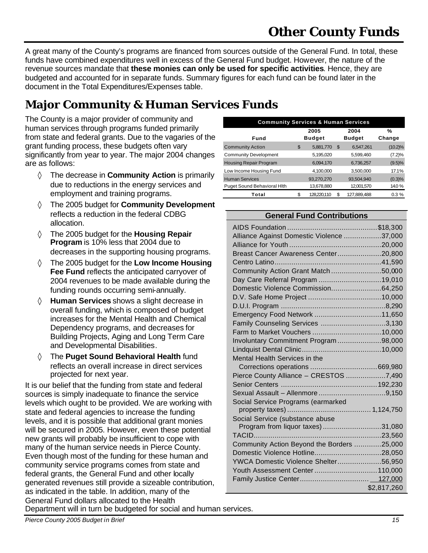A great many of the County's programs are financed from sources outside of the General Fund. In total, these funds have combined expenditures well in excess of the General Fund budget. However, the nature of the revenue sources mandate that **these monies can only be used for specific activities**. Hence, they are budgeted and accounted for in separate funds. Summary figures for each fund can be found later in the document in the Total Expenditures/Expenses table.

# **Major Community & Human Services Funds**

The County is a major provider of community and human services through programs funded primarily from state and federal grants. Due to the vagaries of the grant funding process, these budgets often vary significantly from year to year. The major 2004 changes are as follows:

- ◊ The decrease in **Community Action** is primarily due to reductions in the energy services and employment and training programs.
- ◊ The 2005 budget for **Community Development** reflects a reduction in the federal CDBG allocation.
- ◊ The 2005 budget for the **Housing Repair Program** is 10% less that 2004 due to decreases in the supporting housing programs.
- ◊ The 2005 budget for the **Low Income Housing Fee Fund** reflects the anticipated carryover of 2004 revenues to be made available during the funding rounds occurring semi-annually.
- ◊ **Human Services** shows a slight decrease in overall funding, which is composed of budget increases for the Mental Health and Chemical Dependency programs, and decreases for Building Projects, Aging and Long Term Care and Developmental Disabilities.
- ◊ The **Puget Sound Behavioral Health** fund reflects an overall increase in direct services projected for next year.

It is our belief that the funding from state and federal sources is simply inadequate to finance the service levels which ought to be provided. We are working with state and federal agencies to increase the funding levels, and it is possible that additional grant monies will be secured in 2005. However, even these potential new grants will probably be insufficient to cope with many of the human service needs in Pierce County. Even though most of the funding for these human and community service programs comes from state and federal grants, the General Fund and other locally generated revenues still provide a sizeable contribution, as indicated in the table. In addition, many of the General Fund dollars allocated to the Health Department will in turn be budgeted for social and human services.

| <b>Community Services &amp; Human Services</b> |    |                       |    |                       |             |
|------------------------------------------------|----|-----------------------|----|-----------------------|-------------|
| Fund                                           |    | 2005<br><b>Budget</b> |    | 2004<br><b>Budget</b> | %<br>Change |
| <b>Community Action</b>                        | \$ | 5,881,770             | \$ | 6,547,261             | $(10.2)\%$  |
| <b>Community Development</b>                   |    | 5,195,020             |    | 5,599,460             | (7.2)%      |
| <b>Housing Repair Program</b>                  |    | 6,094,170             |    | 6,736,257             | (9.5)%      |
| Low Income Housing Fund                        |    | 4,100,000             |    | 3,500,000             | 17.1%       |
| <b>Human Services</b>                          |    | 93,270,270            |    | 93,504,940            | (0.3)%      |
| Puget Sound Behavioral Hith                    |    | 13,678,880            |    | 12,001,570            | 14.0%       |
| Total                                          |    | 128.220.110           |    | 127,889,488           | 0.3%        |

#### **General Fund Contributions**

| Alliance Against Domestic Violence 37,000  |             |
|--------------------------------------------|-------------|
|                                            |             |
| Breast Cancer Awareness Center20,800       |             |
|                                            |             |
| Community Action Grant Match50,000         |             |
| Day Care Referral Program 19,010           |             |
| Domestic Violence Commission64,250         |             |
|                                            |             |
|                                            |             |
| Emergency Food Network 11,650              |             |
| Family Counseling Services 3,130           |             |
|                                            |             |
| Involuntary Commitment Program98,000       |             |
|                                            |             |
| Mental Health Services in the              |             |
|                                            |             |
| Pierce County Alliance - CRESTOS 7,490     |             |
|                                            |             |
|                                            |             |
| Social Service Programs (earmarked         |             |
|                                            |             |
| Social Service (substance abuse            |             |
| Program from liquor taxes)31,080           |             |
|                                            |             |
| Community Action Beyond the Borders 25,000 |             |
|                                            |             |
| YWCA Domestic Violence Shelter56,950       |             |
| Youth Assessment Center 110,000            |             |
|                                            |             |
|                                            | \$2,817,260 |

*Pierce County 2005 Budget in Brief 15*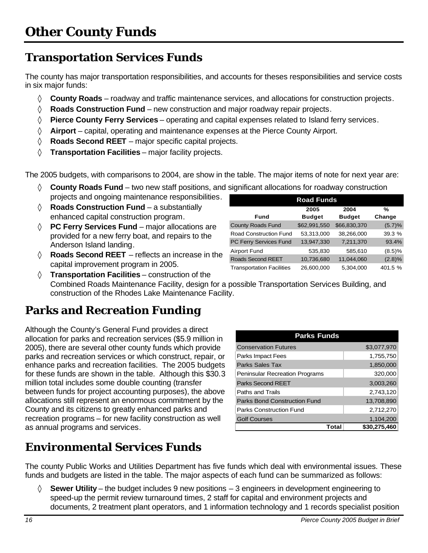# **Transportation Services Funds**

The county has major transportation responsibilities, and accounts for theses responsibilities and service costs in six major funds:

- ◊ **County Roads** roadway and traffic maintenance services, and allocations for construction projects.
- ◊ **Roads Construction Fund** new construction and major roadway repair projects.
- ◊ **Pierce County Ferry Services** operating and capital expenses related to Island ferry services.
- ◊ **Airport** capital, operating and maintenance expenses at the Pierce County Airport.
- ◊ **Roads Second REET** major specific capital projects.
- ◊ **Transportation Facilities** major facility projects.

The 2005 budgets, with comparisons to 2004, are show in the table. The major items of note for next year are:

- ◊ **County Roads Fund** two new staff positions, and significant allocations for roadway construction projects and ongoing maintenance responsibilities.
- ◊ **Roads Construction Fund** a substantially enhanced capital construction program.
- ◊ **PC Ferry Services Fund** major allocations are provided for a new ferry boat, and repairs to the Anderson Island landing.
- ◊ **Roads Second REET** reflects an increase in the capital improvement program in 2005.
- ◊ **Transportation Facilities** construction of the Combined Roads Maintenance Facility, design for a possible Transportation Services Building, and construction of the Rhodes Lake Maintenance Facility.

# **Parks and Recreation Funding**

Although the County's General Fund provides a direct allocation for parks and recreation services (\$5.9 million in 2005), there are several other county funds which provide parks and recreation services or which construct, repair, or enhance parks and recreation facilities. The 2005 budgets for these funds are shown in the table. Although this \$30.3 million total includes some double counting (transfer between funds for project accounting purposes), the above allocations still represent an enormous commitment by the County and its citizens to greatly enhanced parks and recreation programs – for new facility construction as well as annual programs and services.

| <b>Parks Funds</b>                    |              |
|---------------------------------------|--------------|
| <b>Conservation Futures</b>           | \$3,077,970  |
| Parks Impact Fees                     | 1,755,750    |
| Parks Sales Tax                       | 1,850,000    |
| <b>Peninsular Recreation Programs</b> | 320,000      |
| Parks Second REET                     | 3,003,260    |
| Paths and Trails                      | 2,743,120    |
| Parks Bond Construction Fund          | 13,708,890   |
| <b>Parks Construction Fund</b>        | 2,712,270    |
| <b>Golf Courses</b>                   | 1,104,200    |
| Total                                 | \$30.275.460 |

# **Environmental Services Funds**

The county Public Works and Utilities Department has five funds which deal with environmental issues. These funds and budgets are listed in the table. The major aspects of each fund can be summarized as follows:

◊ **Sewer Utility** – the budget includes 9 new positions – 3 engineers in development engineering to speed-up the permit review turnaround times, 2 staff for capital and environment projects and documents, 2 treatment plant operators, and 1 information technology and 1 records specialist position

| 16 | Pierce County 2005 Budget in Brief |
|----|------------------------------------|

| <b>Road Funds</b>                |               |               |         |
|----------------------------------|---------------|---------------|---------|
|                                  | 2005          | 2004          | %       |
| Fund                             | <b>Budget</b> | <b>Budget</b> | Change  |
| <b>County Roads Fund</b>         | \$62,991,550  | \$66,830,370  | (5.7)%  |
| Road Construction Fund           | 53,313,000    | 38,266,000    | 39.3 %  |
| PC Ferry Services Fund           | 13,947,330    | 7,211,370     | 93.4%   |
| <b>Airport Fund</b>              | 535,830       | 585,610       | (8.5)%  |
| Roads Second REET                | 10,736,680    | 11,044,060    | (2.8)%  |
| <b>Transportation Facilities</b> | 26,600,000    | 5,304,000     | 401.5 % |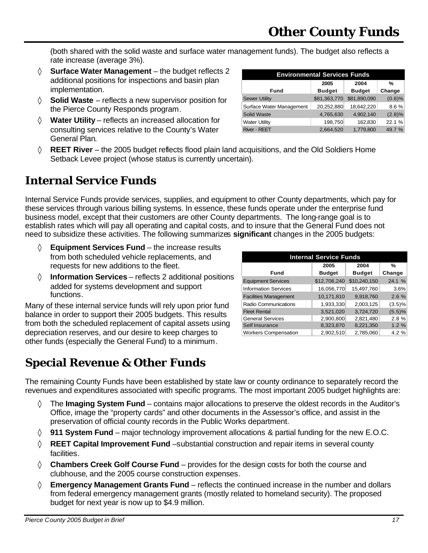(both shared with the solid waste and surface water management funds). The budget also reflects a rate increase (average 3%).

- ◊ **Surface Water Management** the budget reflects 2 additional positions for inspections and basin plan implementation.
- ◊ **Solid Waste** reflects a new supervisor position for the Pierce County Responds program.
- ◊ **Water Utility** reflects an increased allocation for consulting services relative to the County's Water General Plan.

| <b>Environmental Services Funds</b> |               |               |           |  |
|-------------------------------------|---------------|---------------|-----------|--|
|                                     | 2005          | 2004          | %         |  |
| Fund                                | <b>Budget</b> | <b>Budget</b> | Change    |  |
| <b>Sewer Utility</b>                | \$81,363,770  | \$81,890,090  | $(0.6)$ % |  |
| Surface Water Management            | 20,252,880    | 18,642,220    | 8.6%      |  |
| Solid Waste                         | 4,765,630     | 4,902,140     | (2.8)%    |  |
| <b>Water Utility</b>                | 198,750       | 162,830       | 22.1 %    |  |
| <b>River - REET</b>                 | 2,664,520     | 1.779.800     | 49.7%     |  |

◊ **REET River** – the 2005 budget reflects flood plain land acquisitions, and the Old Soldiers Home Setback Levee project (whose status is currently uncertain).

# **Internal Service Funds**

Internal Service Funds provide services, supplies, and equipment to other County departments, which pay for these services through various billing systems. In essence, these funds operate under the enterprise fund business model, except that their customers are other County departments. The long-range goal is to establish rates which will pay all operating and capital costs, and to insure that the General Fund does not need to subsidize these activities. The following summarizes **significant** changes in the 2005 budgets:

- ◊ **Equipment Services Fund** the increase results from both scheduled vehicle replacements, and requests for new additions to the fleet.
- ◊ **Information Services** reflects 2 additional positions added for systems development and support functions.

Many of these internal service funds will rely upon prior fund balance in order to support their 2005 budgets. This results from both the scheduled replacement of capital assets using depreciation reserves, and our desire to keep charges to other funds (especially the General Fund) to a minimum.

| <b>Internal Service Funds</b> |               |               |        |
|-------------------------------|---------------|---------------|--------|
|                               | 2005          | 2004          | %      |
| Fund                          | <b>Budget</b> | <b>Budget</b> | Change |
| <b>Equipment Services</b>     | \$12,706,240  | \$10,240,150  | 24.1 % |
| <b>Information Services</b>   | 16,056,770    | 15,497,760    | 3.6%   |
| <b>Facilities Management</b>  | 10,171,810    | 9,918,760     | 2.6%   |
| Radio Communications          | 1,933,330     | 2,003,125     | (3.5)% |
| <b>Fleet Rental</b>           | 3,521,020     | 3,724,720     | (5.5)% |
| <b>General Services</b>       | 2,900,800     | 2,821,480     | 2.8%   |
| Self Insurance                | 8,323,870     | 8,221,350     | 1.2%   |
| <b>Workers Compensation</b>   | 2,902,510     | 2,785,060     | 4.2%   |

# **Special Revenue & Other Funds**

The remaining County Funds have been established by state law or county ordinance to separately record the revenues and expenditures associated with specific programs. The most important 2005 budget highlights are:

- ◊ The **Imaging System Fund** contains major allocations to preserve the oldest records in the Auditor's Office, image the "property cards" and other documents in the Assessor's office, and assist in the preservation of official county records in the Public Works department.
- ◊ **911 System Fund** major technology improvement allocations & partial funding for the new E.O.C.
- ◊ **REET Capital Improvement Fund** –substantial construction and repair items in several county facilities.
- ◊ **Chambers Creek Golf Course Fund** provides for the design costs for both the course and clubhouse, and the 2005 course construction expenses.
- ◊ **Emergency Management Grants Fund** reflects the continued increase in the number and dollars from federal emergency management grants (mostly related to homeland security). The proposed budget for next year is now up to \$4.9 million.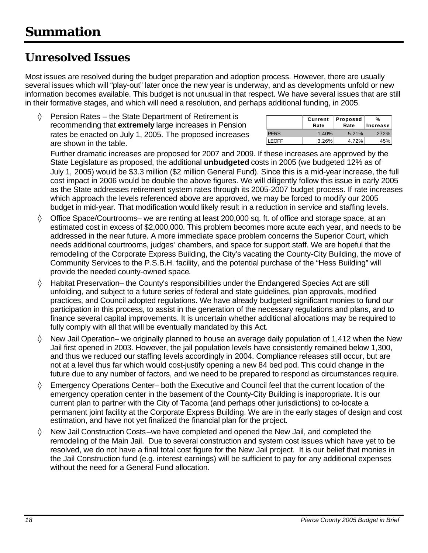# **Unresolved Issues**

Most issues are resolved during the budget preparation and adoption process. However, there are usually several issues which will "play-out" later once the new year is underway, and as developments unfold or new information becomes available. This budget is not unusual in that respect. We have several issues that are still in their formative stages, and which will need a resolution, and perhaps additional funding, in 2005.

Pension Rates – the State Department of Retirement is recommending that **extremely** large increases in Pension rates be enacted on July 1, 2005. The proposed increases are shown in the table.

|              | Current<br>Rate | Proposed<br>Rate | %<br>Increase |
|--------------|-----------------|------------------|---------------|
| <b>PERS</b>  | 1.40%           | 5.21%            | 272%          |
| <b>LEOFF</b> | 3.26%           | 4.72%            | 45%           |

Further dramatic increases are proposed for 2007 and 2009. If these increases are approved by the State Legislature as proposed, the additional **unbudgeted** costs in 2005 (we budgeted 12% as of July 1, 2005) would be \$3.3 million (\$2 million General Fund). Since this is a mid-year increase, the full cost impact in 2006 would be double the above figures. We will diligently follow this issue in early 2005 as the State addresses retirement system rates through its 2005-2007 budget process. If rate increases which approach the levels referenced above are approved, we may be forced to modify our 2005 budget in mid-year. That modification would likely result in a reduction in service and staffing levels.

- ◊ Office Space/Courtrooms– we are renting at least 200,000 sq. ft. of office and storage space, at an estimated cost in excess of \$2,000,000. This problem becomes more acute each year, and needs to be addressed in the near future. A more immediate space problem concerns the Superior Court, which needs additional courtrooms, judges' chambers, and space for support staff. We are hopeful that the remodeling of the Corporate Express Building, the City's vacating the County-City Building, the move of Community Services to the P.S.B.H. facility, and the potential purchase of the "Hess Building" will provide the needed county-owned space.
- ◊ Habitat Preservation– the County's responsibilities under the Endangered Species Act are still unfolding, and subject to a future series of federal and state guidelines, plan approvals, modified practices, and Council adopted regulations. We have already budgeted significant monies to fund our participation in this process, to assist in the generation of the necessary regulations and plans, and to finance several capital improvements. It is uncertain whether additional allocations may be required to fully comply with all that will be eventually mandated by this Act.
- $\Diamond$  New Jail Operation– we originally planned to house an average daily population of 1,412 when the New Jail first opened in 2003. However, the jail population levels have consistently remained below 1,300, and thus we reduced our staffing levels accordingly in 2004. Compliance releases still occur, but are not at a level thus far which would cost-justify opening a new 84 bed pod. This could change in the future due to any number of factors, and we need to be prepared to respond as circumstances require.
- ◊ Emergency Operations Center– both the Executive and Council feel that the current location of the emergency operation center in the basement of the County-City Building is inappropriate. It is our current plan to partner with the City of Tacoma (and perhaps other jurisdictions) to co-locate a permanent joint facility at the Corporate Express Building. We are in the early stages of design and cost estimation, and have not yet finalized the financial plan for the project.
- $\Diamond$  New Jail Construction Costs–we have completed and opened the New Jail, and completed the remodeling of the Main Jail. Due to several construction and system cost issues which have yet to be resolved, we do not have a final total cost figure for the New Jail project. It is our belief that monies in the Jail Construction fund (e.g. interest earnings) will be sufficient to pay for any additional expenses without the need for a General Fund allocation.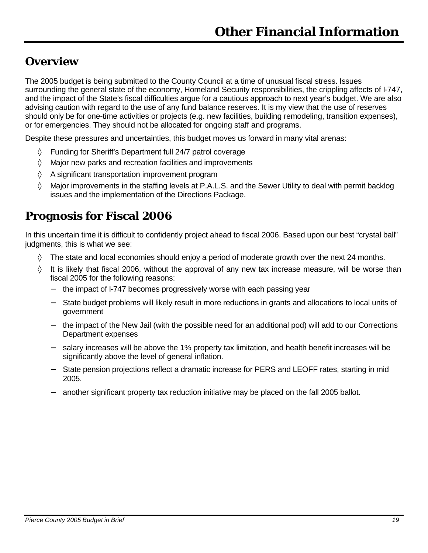### **Overview**

The 2005 budget is being submitted to the County Council at a time of unusual fiscal stress. Issues surrounding the general state of the economy, Homeland Security responsibilities, the crippling affects of I-747, and the impact of the State's fiscal difficulties argue for a cautious approach to next year's budget. We are also advising caution with regard to the use of any fund balance reserves. It is my view that the use of reserves should only be for one-time activities or projects (e.g. new facilities, building remodeling, transition expenses), or for emergencies. They should not be allocated for ongoing staff and programs.

Despite these pressures and uncertainties, this budget moves us forward in many vital arenas:

- ◊ Funding for Sheriff's Department full 24/7 patrol coverage
- ◊ Major new parks and recreation facilities and improvements
- ◊ A significant transportation improvement program
- ◊ Major improvements in the staffing levels at P.A.L.S. and the Sewer Utility to deal with permit backlog issues and the implementation of the Directions Package.

## **Prognosis for Fiscal 2006**

In this uncertain time it is difficult to confidently project ahead to fiscal 2006. Based upon our best "crystal ball" judgments, this is what we see:

- $\Diamond$  The state and local economies should enjoy a period of moderate growth over the next 24 months.
- $\Diamond$  It is likely that fiscal 2006, without the approval of any new tax increase measure, will be worse than fiscal 2005 for the following reasons:
	- − the impact of I-747 becomes progressively worse with each passing year
	- State budget problems will likely result in more reductions in grants and allocations to local units of government
	- the impact of the New Jail (with the possible need for an additional pod) will add to our Corrections Department expenses
	- − salary increases will be above the 1% property tax limitation, and health benefit increases will be significantly above the level of general inflation.
	- State pension projections reflect a dramatic increase for PERS and LEOFF rates, starting in mid 2005.
	- − another significant property tax reduction initiative may be placed on the fall 2005 ballot.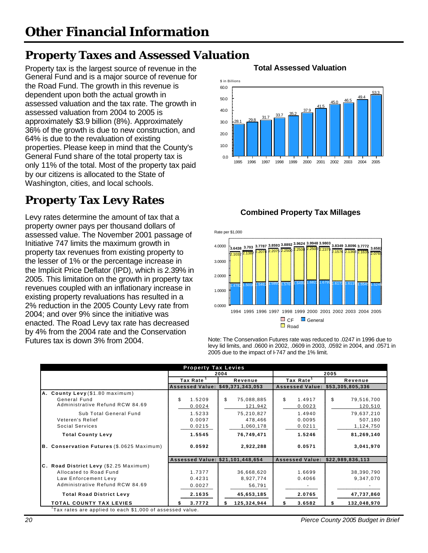# **Property Taxes and Assessed Valuation**

Property tax is the largest source of revenue in the **Total Assessed Valuation** General Fund and is a major source of revenue for the Road Fund. The growth in this revenue is dependent upon both the actual growth in assessed valuation and the tax rate. The growth in assessed valuation from 2004 to 2005 is approximately \$3.9 billion (8%). Approximately 36% of the growth is due to new construction, and 64% is due to the revaluation of existing properties. Please keep in mind that the County's General Fund share of the total property tax is only 11% of the total. Most of the property tax paid by our citizens is allocated to the State of Washington, cities, and local schools.

# **Property Tax Levy Rates**

**Combined Property Tax Millages** Levy rates determine the amount of tax that a property owner pays per thousand dollars of assessed value. The November 2001 passage of Initiative 747 limits the maximum growth in property tax revenues from existing property to the lesser of 1% or the percentage increase in the Implicit Price Deflator (IPD), which is 2.39% in 2005. This limitation on the growth in property tax revenues coupled with an inflationary increase in existing property revaluations has resulted in a 2% reduction in the 2005 County Levy rate from 2004; and over 9% since the initiative was enacted. The Road Levy tax rate has decreased by 4% from the 2004 rate and the Conservation Futures tax is down 3% from 2004.





Note: The Conservation Futures rate was reduced to .0247 in 1996 due to levy lid limits, and .0600 in 2002, .0609 in 2003, .0592 in 2004, and .0571 in 2005 due to the impact of I-747 and the 1% limit.

|                                                          | <b>Property Tax Levies</b>       |                    |                        |                  |
|----------------------------------------------------------|----------------------------------|--------------------|------------------------|------------------|
|                                                          |                                  | 2004               |                        | 2005             |
|                                                          | Tax Rate <sup>1</sup>            | Revenue            | Tax Rate <sup>1</sup>  | Revenue          |
|                                                          | <b>Assessed Value:</b>           | \$49,371,343,053   | <b>Assessed Value:</b> | \$53,305,805,336 |
| A. County Levy (\$1.80 maximum)                          |                                  |                    |                        |                  |
| General Fund                                             | \$<br>1.5209                     | \$<br>75,088,885   | \$<br>1.4917           | \$<br>79,516,700 |
| Administrative Refund RCW 84.69                          | 0.0024                           | 121,942            | 0.0023                 | 120,510          |
| Sub Total General Fund                                   | 1.5233                           | 75,210,827         | 1.4940                 | 79,637,210       |
| Veteren's Relief                                         | 0.0097                           | 478,466            | 0.0095                 | 507,180          |
| Social Services                                          | 0.0215                           | 1,060,178          | 0.0211                 | 1,124,750        |
| <b>Total County Levy</b>                                 | 1.5545                           | 76,749,471         | 1.5246                 | 81,269,140       |
| <b>B. Conservation Futures (\$.0625 Maximum)</b>         | 0.0592                           | 2,922,288          | 0.0571                 | 3,041,970        |
|                                                          | Assessed Value: \$21,101,448,654 |                    | <b>Assessed Value:</b> | \$22,989,836,113 |
| C. Road District Levy (\$2.25 Maximum)                   |                                  |                    |                        |                  |
| Allocated to Road Fund                                   | 1.7377                           | 36,668,620         | 1.6699                 | 38,390,790       |
| Law Enforcement Levy                                     | 0.4231                           | 8,927,774          | 0.4066                 | 9,347,070        |
| Administrative Refund RCW 84.69                          | 0.0027                           | 56,791             |                        |                  |
| <b>Total Road District Levy</b>                          | 2.1635                           | 45,653,185         | 2.0765                 | 47,737,860       |
| <b>TOTAL COUNTY TAX LEVIES</b>                           | 3.7772<br>Я.                     | 125,324,944<br>\$. | 3.6582<br>S.           | 132,048,970      |
| Tax rates are applied to each \$1,000 of assessed value. |                                  |                    |                        |                  |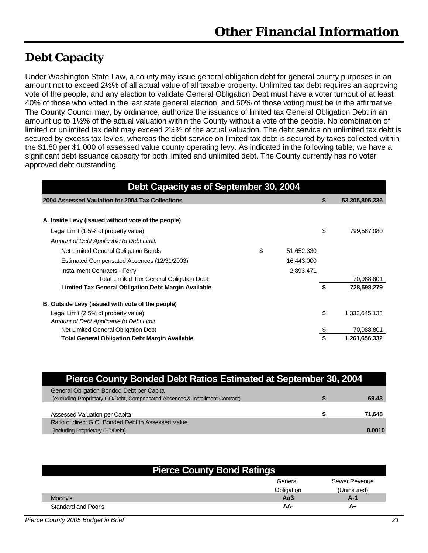## **Debt Capacity**

Under Washington State Law, a county may issue general obligation debt for general county purposes in an amount not to exceed 2½% of all actual value of all taxable property. Unlimited tax debt requires an approving vote of the people, and any election to validate General Obligation Debt must have a voter turnout of at least 40% of those who voted in the last state general election, and 60% of those voting must be in the affirmative. The County Council may, by ordinance, authorize the issuance of limited tax General Obligation Debt in an amount up to 1½% of the actual valuation within the County without a vote of the people. No combination of limited or unlimited tax debt may exceed 2½% of the actual valuation. The debt service on unlimited tax debt is secured by excess tax levies, whereas the debt service on limited tax debt is secured by taxes collected within the \$1.80 per \$1,000 of assessed value county operating levy. As indicated in the following table, we have a significant debt issuance capacity for both limited and unlimited debt. The County currently has no voter approved debt outstanding.

| Debt Capacity as of September 30, 2004                |    |            |    |                |  |  |  |  |  |
|-------------------------------------------------------|----|------------|----|----------------|--|--|--|--|--|
| 2004 Assessed Vaulation for 2004 Tax Collections      |    |            | \$ | 53,305,805,336 |  |  |  |  |  |
| A. Inside Levy (issued without vote of the people)    |    |            |    |                |  |  |  |  |  |
| Legal Limit (1.5% of property value)                  |    |            | \$ | 799,587,080    |  |  |  |  |  |
| Amount of Debt Applicable to Debt Limit:              |    |            |    |                |  |  |  |  |  |
| Net Limited General Obligation Bonds                  | \$ | 51,652,330 |    |                |  |  |  |  |  |
| Estimated Compensated Absences (12/31/2003)           |    | 16,443,000 |    |                |  |  |  |  |  |
| <b>Installment Contracts - Ferry</b>                  |    | 2,893,471  |    |                |  |  |  |  |  |
| <b>Total Limited Tax General Obligation Debt</b>      |    |            |    | 70,988,801     |  |  |  |  |  |
| Limited Tax General Obligation Debt Margin Available  |    |            | \$ | 728,598,279    |  |  |  |  |  |
| B. Outside Levy (issued with vote of the people)      |    |            |    |                |  |  |  |  |  |
| Legal Limit (2.5% of property value)                  |    |            | \$ | 1,332,645,133  |  |  |  |  |  |
| Amount of Debt Applicable to Debt Limit:              |    |            |    |                |  |  |  |  |  |
| Net Limited General Obligation Debt                   |    |            | \$ | 70,988,801     |  |  |  |  |  |
| <b>Total General Obligation Debt Margin Available</b> |    |            |    | 1,261,656,332  |  |  |  |  |  |

| Pierce County Bonded Debt Ratios Estimated at September 30, 2004              |        |
|-------------------------------------------------------------------------------|--------|
| General Obligation Bonded Debt per Capita                                     |        |
| (excluding Proprietary GO/Debt, Compensated Absences, & Installment Contract) | 69.43  |
|                                                                               |        |
| Assessed Valuation per Capita                                                 | 71,648 |
| Ratio of direct G.O. Bonded Debt to Assessed Value                            |        |
| (including Proprietary GO/Debt)                                               | 0.0010 |

| <b>Pierce County Bond Ratings</b> |            |               |  |  |  |  |
|-----------------------------------|------------|---------------|--|--|--|--|
|                                   | General    | Sewer Revenue |  |  |  |  |
|                                   | Obligation | (Uninsured)   |  |  |  |  |
| Moody's                           | Aa3        | $A-1$         |  |  |  |  |
| Standard and Poor's               | AA-        | A+            |  |  |  |  |

*Pierce County 2005 Budget in Brief 21*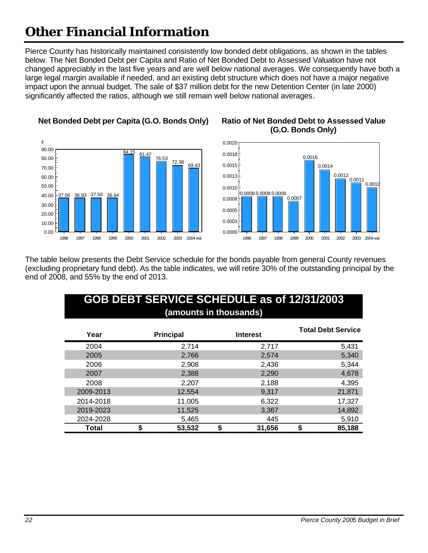Pierce County has historically maintained consistently low bonded debt obligations, as shown in the tables below. The Net Bonded Debt per Capita and Ratio of Net Bonded Debt to Assessed Valuation have not changed appreciably in the last five years and are well below national averages. We consequently have both a large legal margin available if needed, and an existing debt structure which does not have a major negative impact upon the annual budget. The sale of \$37 million debt for the new Detention Center (in late 2000) significantly affected the ratios, although we still remain well below national averages.



### **Net Bonded Debt per Capita (G.O. Bonds Only) Ratio of Net Bonded Debt to Assessed Value (G.O. Bonds Only)**



The table below presents the Debt Service schedule for the bonds payable from general County revenues (excluding proprietary fund debt). As the table indicates, we will retire 30% of the outstanding principal by the end of 2008, and 55% by the end of 2013.

### **GOB DEBT SERVICE SCHEDULE as of 12/31/2003 (amounts in thousands)**

| Year      | <b>Principal</b> | <b>Interest</b> | <b>Total Debt Service</b> |
|-----------|------------------|-----------------|---------------------------|
| 2004      | 2,714            | 2,717           | 5,431                     |
| 2005      | 2,766            | 2,574           | 5,340                     |
| 2006      | 2,908            | 2,436           | 5,344                     |
| 2007      | 2,388            | 2,290           | 4,678                     |
| 2008      | 2,207            | 2,188           | 4,395                     |
| 2009-2013 | 12,554           | 9,317           | 21,871                    |
| 2014-2018 | 11,005           | 6,322           | 17,327                    |
| 2019-2023 | 11,525           | 3,367           | 14,892                    |
| 2024-2028 | 5,465            | 445             | 5,910                     |
| Total     | 53,532           | 31,656<br>\$    | 85,188                    |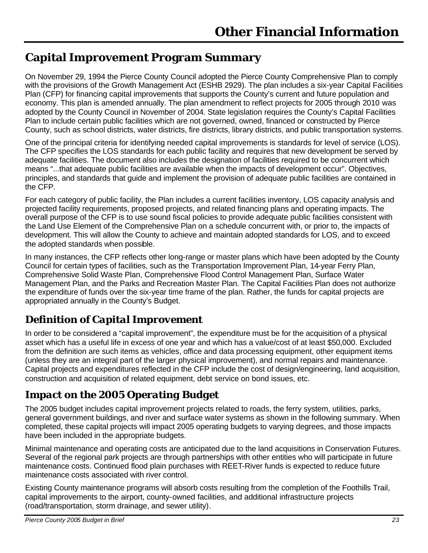# **Capital Improvement Program Summary**

On November 29, 1994 the Pierce County Council adopted the Pierce County Comprehensive Plan to comply with the provisions of the Growth Management Act (ESHB 2929). The plan includes a six-year Capital Facilities Plan (CFP) for financing capital improvements that supports the County's current and future population and economy. This plan is amended annually. The plan amendment to reflect projects for 2005 through 2010 was adopted by the County Council in November of 2004. State legislation requires the County's Capital Facilities Plan to include certain public facilities which are not governed, owned, financed or constructed by Pierce County, such as school districts, water districts, fire districts, library districts, and public transportation systems.

One of the principal criteria for identifying needed capital improvements is standards for level of service (LOS). The CFP specifies the LOS standards for each public facility and requires that new development be served by adequate facilities. The document also includes the designation of facilities required to be concurrent which means "...that adequate public facilities are available when the impacts of development occur". Objectives, principles, and standards that guide and implement the provision of adequate public facilities are contained in the CFP.

For each category of public facility, the Plan includes a current facilities inventory, LOS capacity analysis and projected facility requirements, proposed projects, and related financing plans and operating impacts. The overall purpose of the CFP is to use sound fiscal policies to provide adequate public facilities consistent with the Land Use Element of the Comprehensive Plan on a schedule concurrent with, or prior to, the impacts of development. This will allow the County to achieve and maintain adopted standards for LOS, and to exceed the adopted standards when possible.

In many instances, the CFP reflects other long-range or master plans which have been adopted by the County Council for certain types of facilities, such as the Transportation Improvement Plan, 14-year Ferry Plan, Comprehensive Solid Waste Plan, Comprehensive Flood Control Management Plan, Surface Water Management Plan, and the Parks and Recreation Master Plan. The Capital Facilities Plan does not authorize the expenditure of funds over the six-year time frame of the plan. Rather, the funds for capital projects are appropriated annually in the County's Budget.

### *Definition of Capital Improvement*

In order to be considered a "capital improvement", the expenditure must be for the acquisition of a physical asset which has a useful life in excess of one year and which has a value/cost of at least \$50,000. Excluded from the definition are such items as vehicles, office and data processing equipment, other equipment items (unless they are an integral part of the larger physical improvement), and normal repairs and maintenance. Capital projects and expenditures reflected in the CFP include the cost of design/engineering, land acquisition, construction and acquisition of related equipment, debt service on bond issues, etc.

### *Impact on the 2005 Operating Budget*

The 2005 budget includes capital improvement projects related to roads, the ferry system, utilities, parks, general government buildings, and river and surface water systems as shown in the following summary. When completed, these capital projects will impact 2005 operating budgets to varying degrees, and those impacts have been included in the appropriate budgets.

Minimal maintenance and operating costs are anticipated due to the land acquisitions in Conservation Futures. Several of the regional park projects are through partnerships with other entities who will participate in future maintenance costs. Continued flood plain purchases with REET-River funds is expected to reduce future maintenance costs associated with river control.

Existing County maintenance programs will absorb costs resulting from the completion of the Foothills Trail, capital improvements to the airport, county-owned facilities, and additional infrastructure projects (road/transportation, storm drainage, and sewer utility).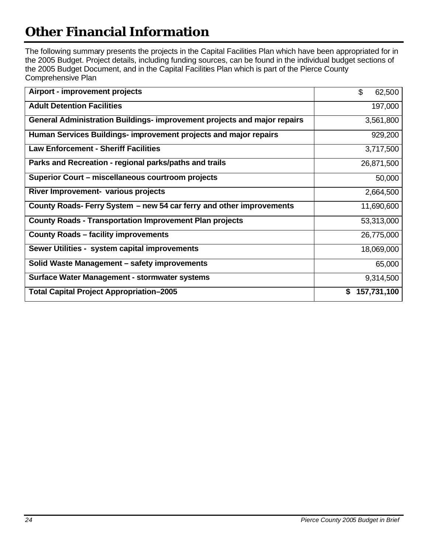The following summary presents the projects in the Capital Facilities Plan which have been appropriated for in the 2005 Budget. Project details, including funding sources, can be found in the individual budget sections of the 2005 Budget Document, and in the Capital Facilities Plan which is part of the Pierce County Comprehensive Plan

| Airport - improvement projects                                           | \$<br>62,500      |
|--------------------------------------------------------------------------|-------------------|
| <b>Adult Detention Facilities</b>                                        | 197,000           |
| General Administration Buildings- improvement projects and major repairs | 3,561,800         |
| Human Services Buildings- improvement projects and major repairs         | 929,200           |
| <b>Law Enforcement - Sheriff Facilities</b>                              | 3,717,500         |
| Parks and Recreation - regional parks/paths and trails                   | 26,871,500        |
| Superior Court – miscellaneous courtroom projects                        | 50,000            |
| River Improvement- various projects                                      | 2,664,500         |
| County Roads- Ferry System - new 54 car ferry and other improvements     | 11,690,600        |
| <b>County Roads - Transportation Improvement Plan projects</b>           | 53,313,000        |
| <b>County Roads - facility improvements</b>                              | 26,775,000        |
| Sewer Utilities - system capital improvements                            | 18,069,000        |
| Solid Waste Management - safety improvements                             | 65,000            |
| Surface Water Management - stormwater systems                            | 9,314,500         |
| <b>Total Capital Project Appropriation-2005</b>                          | 157,731,100<br>\$ |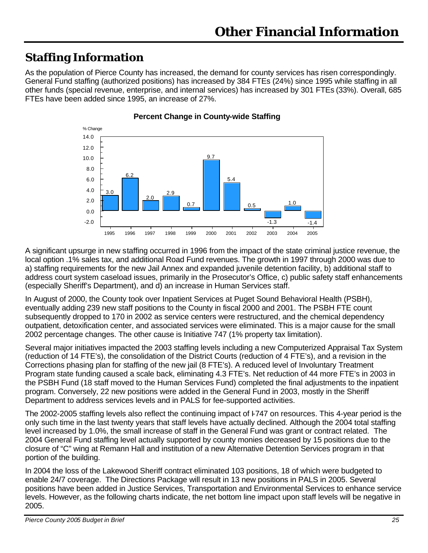# **Staffing Information**

As the population of Pierce County has increased, the demand for county services has risen correspondingly. General Fund staffing (authorized positions) has increased by 384 FTEs (24%) since 1995 while staffing in all other funds (special revenue, enterprise, and internal services) has increased by 301 FTEs (33%). Overall, 685 FTEs have been added since 1995, an increase of 27%.



**Percent Change in County-wide Staffing**

A significant upsurge in new staffing occurred in 1996 from the impact of the state criminal justice revenue, the local option .1% sales tax, and additional Road Fund revenues. The growth in 1997 through 2000 was due to a) staffing requirements for the new Jail Annex and expanded juvenile detention facility, b) additional staff to address court system caseload issues, primarily in the Prosecutor's Office, c) public safety staff enhancements (especially Sheriff's Department), and d) an increase in Human Services staff.

In August of 2000, the County took over Inpatient Services at Puget Sound Behavioral Health (PSBH), eventually adding 239 new staff positions to the County in fiscal 2000 and 2001. The PSBH FTE count subsequently dropped to 170 in 2002 as service centers were restructured, and the chemical dependency outpatient, detoxification center, and associated services were eliminated. This is a major cause for the small 2002 percentage changes. The other cause is Initiative 747 (1% property tax limitation).

Several major initiatives impacted the 2003 staffing levels including a new Computerized Appraisal Tax System (reduction of 14 FTE's), the consolidation of the District Courts (reduction of 4 FTE's), and a revision in the Corrections phasing plan for staffing of the new jail (8 FTE's). A reduced level of Involuntary Treatment Program state funding caused a scale back, eliminating 4.3 FTE's. Net reduction of 44 more FTE's in 2003 in the PSBH Fund (18 staff moved to the Human Services Fund) completed the final adjustments to the inpatient program. Conversely, 22 new positions were added in the General Fund in 2003, mostly in the Sheriff Department to address services levels and in PALS for fee-supported activities.

The 2002-2005 staffing levels also reflect the continuing impact of I-747 on resources. This 4-year period is the only such time in the last twenty years that staff levels have actually declined. Although the 2004 total staffing level increased by 1.0%, the small increase of staff in the General Fund was grant or contract related. The 2004 General Fund staffing level actually supported by county monies decreased by 15 positions due to the closure of "C" wing at Remann Hall and institution of a new Alternative Detention Services program in that portion of the building.

In 2004 the loss of the Lakewood Sheriff contract eliminated 103 positions, 18 of which were budgeted to enable 24/7 coverage. The Directions Package will result in 13 new positions in PALS in 2005. Several positions have been added in Justice Services, Transportation and Environmental Services to enhance service levels. However, as the following charts indicate, the net bottom line impact upon staff levels will be negative in 2005.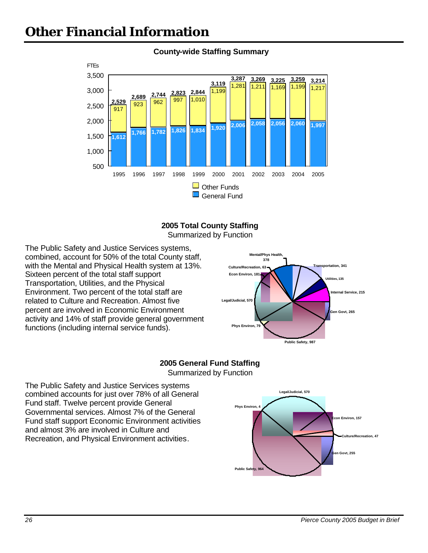

#### **County-wide Staffing Summary**



Summarized by Function

The Public Safety and Justice Services systems, combined, account for 50% of the total County staff, with the Mental and Physical Health system at 13%. Sixteen percent of the total staff support Transportation, Utilities, and the Physical Environment. Two percent of the total staff are related to Culture and Recreation. Almost five percent are involved in Economic Environment activity and 14% of staff provide general government functions (including internal service funds).



#### **2005 General Fund Staffing** Summarized by Function

The Public Safety and Justice Services systems combined accounts for just over 78% of all General Fund staff. Twelve percent provide General Governmental services. Almost 7% of the General Fund staff support Economic Environment activities and almost 3% are involved in Culture and Recreation, and Physical Environment activities.

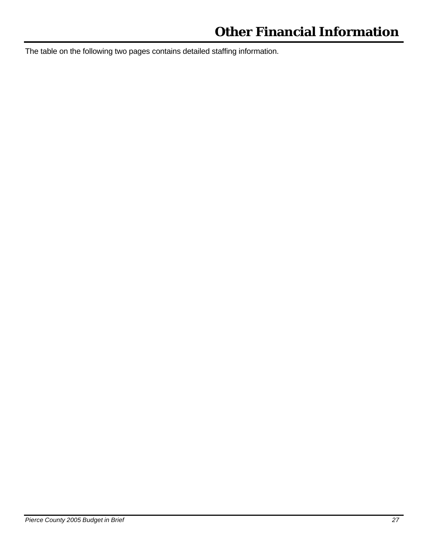The table on the following two pages contains detailed staffing information.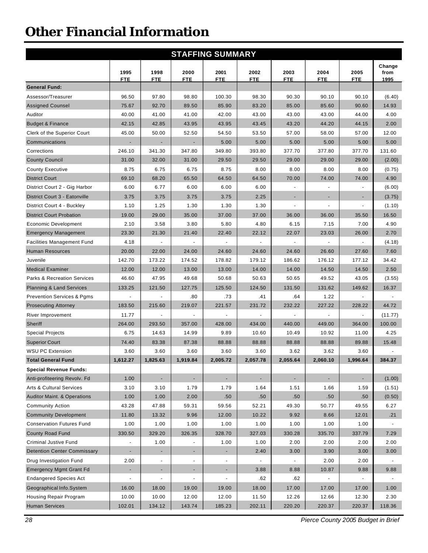|                                        |                          |                          |                          | <b>STAFFING SUMMARY</b>      |                          |                          |                    |                    |                        |
|----------------------------------------|--------------------------|--------------------------|--------------------------|------------------------------|--------------------------|--------------------------|--------------------|--------------------|------------------------|
|                                        | 1995<br><b>FTE</b>       | 1998<br><b>FTE</b>       | 2000<br><b>FTE</b>       | 2001<br><b>FTE</b>           | 2002<br><b>FTE</b>       | 2003<br><b>FTE</b>       | 2004<br><b>FTE</b> | 2005<br><b>FTE</b> | Change<br>from<br>1995 |
| <b>General Fund:</b>                   |                          |                          |                          |                              |                          |                          |                    |                    |                        |
| Assessor/Treasurer                     | 96.50                    | 97.80                    | 98.80                    | 100.30                       | 98.30                    | 90.30                    | 90.10              | 90.10              | (6.40)                 |
| <b>Assigned Counsel</b>                | 75.67                    | 92.70                    | 89.50                    | 85.90                        | 83.20                    | 85.00                    | 85.60              | 90.60              | 14.93                  |
| Auditor                                | 40.00                    | 41.00                    | 41.00                    | 42.00                        | 43.00                    | 43.00                    | 43.00              | 44.00              | 4.00                   |
| <b>Budget &amp; Finance</b>            | 42.15                    | 42.85                    | 43.95                    | 43.95                        | 43.45                    | 43.20                    | 44.20              | 44.15              | 2.00                   |
| Clerk of the Superior Court            | 45.00                    | 50.00                    | 52.50                    | 54.50                        | 53.50                    | 57.00                    | 58.00              | 57.00              | 12.00                  |
| Communications                         |                          |                          |                          | 5.00                         | 5.00                     | 5.00                     | 5.00               | 5.00               | 5.00                   |
| Corrections                            | 246.10                   | 341.30                   | 347.80                   | 349.80                       | 393.80                   | 377.70                   | 377.80             | 377.70             | 131.60                 |
| <b>County Council</b>                  | 31.00                    | 32.00                    | 31.00                    | 29.50                        | 29.50                    | 29.00                    | 29.00              | 29.00              | (2.00)                 |
| <b>County Executive</b>                | 8.75                     | 6.75                     | 6.75                     | 8.75                         | 8.00                     | 8.00                     | 8.00               | 8.00               | (0.75)                 |
| <b>District Court</b>                  | 69.10                    | 68.20                    | 65.50                    | 64.50                        | 64.50                    | 70.00                    | 74.00              | 74.00              | 4.90                   |
| District Court 2 - Gig Harbor          | 6.00                     | 6.77                     | 6.00                     | 6.00                         | 6.00                     |                          |                    |                    | (6.00)                 |
| District Court 3 - Eatonville          | 3.75                     | 3.75                     | 3.75                     | 3.75                         | 2.25                     |                          |                    |                    | (3.75)                 |
| District Court 4 - Buckley             | 1.10                     | 1.25                     | 1.30                     | 1.30                         | 1.30                     |                          |                    |                    | (1.10)                 |
| <b>District Court Probation</b>        | 19.00                    | 29.00                    | 35.00                    | 37.00                        | 37.00                    | 36.00                    | 36.00              | 35.50              | 16.50                  |
| Economic Development                   | 2.10                     | 3.58                     | 3.80                     | 5.80                         | 4.80                     | 6.15                     | 7.15               | 7.00               | 4.90                   |
| <b>Emergency Management</b>            | 23.30                    | 21.30                    | 21.40                    | 22.40                        | 22.12                    | 22.07                    | 23.03              | 26.00              | 2.70                   |
| <b>Facilities Management Fund</b>      | 4.18                     |                          |                          |                              |                          |                          |                    |                    | (4.18)                 |
| <b>Human Resources</b>                 | 20.00                    | 22.00                    | 24.00                    | 24.60                        | 24.60                    | 24.60                    | 26.60              | 27.60              | 7.60                   |
| Juvenile                               | 142.70                   | 173.22                   | 174.52                   | 178.82                       | 179.12                   | 186.62                   | 176.12             | 177.12             | 34.42                  |
| <b>Medical Examiner</b>                | 12.00                    | 12.00                    | 13.00                    | 13.00                        | 14.00                    | 14.00                    | 14.50              | 14.50              | 2.50                   |
| <b>Parks &amp; Recreation Services</b> | 46.60                    | 47.95                    | 49.68                    | 50.68                        | 50.63                    | 50.65                    | 49.52              | 43.05              | (3.55)                 |
| <b>Planning &amp; Land Services</b>    | 133.25                   | 121.50                   | 127.75                   | 125.50                       | 124.50                   | 131.50                   | 131.62             | 149.62             | 16.37                  |
| <b>Prevention Services &amp; Pgms</b>  | $\overline{\phantom{a}}$ | $\blacksquare$           | .80                      | .73                          | .41                      | .64                      | 1.22               |                    |                        |
| <b>Prosecuting Attorney</b>            | 183.50                   | 215.60                   | 219.07                   | 221.57                       | 231.72                   | 232.22                   | 227.22             | 228.22             | 44.72                  |
| River Improvement                      | 11.77                    |                          |                          |                              |                          |                          |                    |                    | (11.77)                |
| Sheriff                                | 264.00                   | 293.50                   | 357.00                   | 428.00                       | 434.00                   | 440.00                   | 449.00             | 364.00             | 100.00                 |
| <b>Special Projects</b>                | 6.75                     | 14.63                    | 14.99                    | 9.89                         | 10.60                    | 10.49                    | 10.92              | 11.00              | 4.25                   |
| <b>Superior Court</b>                  | 74.40                    | 83.38                    | 87.38                    | 88.88                        | 88.88                    | 88.88                    | 88.88              | 89.88              | 15.48                  |
| <b>WSU PC Extension</b>                | 3.60                     | 3.60                     | 3.60                     | 3.60                         | 3.60                     | 3.62                     | 3.62               | 3.60               |                        |
| <b>Total General Fund</b>              | 1,612.27                 | 1,825.63                 | 1,919.84                 | 2,005.72                     | 2,057.78                 | 2,055.64                 | 2,060.10           | 1,996.64           | 384.37                 |
| <b>Special Revenue Funds:</b>          |                          |                          |                          |                              |                          |                          |                    |                    |                        |
| Anti-profiteering Revolv. Fd           | 1.00                     | $\overline{\phantom{a}}$ | $\overline{\phantom{a}}$ | $\blacksquare$               | $\sim$                   | $\overline{\phantom{a}}$ | $\blacksquare$     | $\blacksquare$     | (1.00)                 |
| <b>Arts &amp; Cultural Services</b>    | 3.10                     | 3.10                     | 1.79                     | 1.79                         | 1.64                     | 1.51                     | 1.66               | 1.59               | (1.51)                 |
| <b>Auditor Maint. &amp; Operations</b> | 1.00                     | 1.00                     | 2.00                     | .50                          | .50                      | .50                      | .50                | .50                | (0.50)                 |
| <b>Community Action</b>                | 43.28                    | 47.88                    | 59.31                    | 59.56                        | 52.21                    | 49.30                    | 50.77              | 49.55              | 6.27                   |
| <b>Community Development</b>           | 11.80                    | 13.32                    | 9.96                     | 12.00                        | 10.22                    | 9.92                     | 8.66               | 12.01              | .21                    |
| <b>Conservation Futures Fund</b>       | 1.00                     | 1.00                     | 1.00                     | 1.00                         | 1.00                     | 1.00                     | 1.00               | 1.00               |                        |
| County Road Fund                       | 330.50                   | 329.20                   | 326.35                   | 328.70                       | 327.03                   | 330.28                   | 335.70             | 337.79             | 7.29                   |
| <b>Criminal Justive Fund</b>           |                          | 1.00                     |                          | 1.00                         | 1.00                     | 2.00                     | 2.00               | 2.00               | 2.00                   |
| <b>Detention Center Commissary</b>     | $\blacksquare$           |                          | $\blacksquare$           | ٠                            | 2.40                     | 3.00                     | 3.90               | 3.00               | 3.00                   |
| Drug Investigation Fund                | 2.00                     | $\overline{\phantom{a}}$ | $\overline{\phantom{a}}$ | $\overline{\phantom{a}}$     | $\overline{\phantom{a}}$ | $\overline{\phantom{a}}$ | 2.00               | 2.00               |                        |
| <b>Emergency Mgmt Grant Fd</b>         | ٠                        | $\overline{\phantom{a}}$ | ٠                        | $\qquad \qquad \blacksquare$ | 3.88                     | 8.88                     | 10.87              | 9.88               | 9.88                   |
| <b>Endangered Species Act</b>          | $\overline{a}$           | $\overline{\phantom{a}}$ | $\overline{\phantom{a}}$ | $\qquad \qquad \blacksquare$ | .62                      | .62                      |                    | $\blacksquare$     |                        |
| Geographical Info.System               | 16.00                    | 18.00                    | 19.00                    | 19.00                        | 18.00                    | 17.00                    | 17.00              | 17.00              | 1.00                   |
| Housing Repair Program                 | 10.00                    | 10.00                    | 12.00                    | 12.00                        | 11.50                    | 12.26                    | 12.66              | 12.30              | 2.30                   |
| <b>Human Services</b>                  | 102.01                   | 134.12                   | 143.74                   | 185.23                       | 202.11                   | 220.20                   | 220.37             | 220.37             | 118.36                 |
|                                        |                          |                          |                          |                              |                          |                          |                    |                    |                        |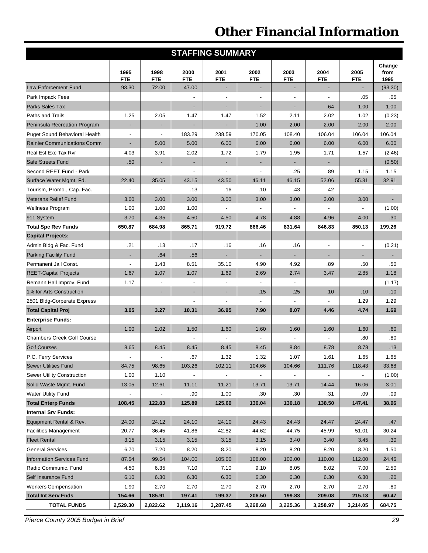| <b>STAFFING SUMMARY</b>              |                    |                          |                    |                          |                          |                              |                              |                          |                |
|--------------------------------------|--------------------|--------------------------|--------------------|--------------------------|--------------------------|------------------------------|------------------------------|--------------------------|----------------|
|                                      |                    |                          |                    |                          |                          |                              |                              |                          | Change         |
|                                      | 1995<br><b>FTE</b> | 1998<br><b>FTE</b>       | 2000<br><b>FTE</b> | 2001<br><b>FTE</b>       | 2002<br><b>FTE</b>       | 2003<br><b>FTE</b>           | 2004<br><b>FTE</b>           | 2005<br><b>FTE</b>       | from<br>1995   |
| Law Enforcement Fund                 | 93.30              | 72.00                    | 47.00              |                          |                          |                              |                              |                          | (93.30)        |
| Park Impack Fees                     |                    |                          |                    |                          | $\overline{\phantom{a}}$ | $\overline{\phantom{a}}$     | $\overline{\phantom{a}}$     | .05                      | .05            |
| Parks Sales Tax                      |                    |                          | ٠                  |                          |                          | $\qquad \qquad \blacksquare$ | .64                          | 1.00                     | 1.00           |
| Paths and Trails                     | 1.25               | 2.05                     | 1.47               | 1.47                     | 1.52                     | 2.11                         | 2.02                         | 1.02                     | (0.23)         |
| Peninsula Recreation Program         | ÷,                 |                          |                    | ÷                        | 1.00                     | 2.00                         | 2.00                         | 2.00                     | 2.00           |
| <b>Puget Sound Behavioral Health</b> | $\blacksquare$     | $\overline{\phantom{a}}$ | 183.29             | 238.59                   | 170.05                   | 108.40                       | 106.04                       | 106.04                   | 106.04         |
| <b>Rainier Communications Comm</b>   | $\blacksquare$     | 5.00                     | 5.00               | 6.00                     | 6.00                     | 6.00                         | 6.00                         | 6.00                     | 6.00           |
| Real Est Exc Tax Rvr                 | 4.03               | 3.91                     | 2.02               | 1.72                     | 1.79                     | 1.95                         | 1.71                         | 1.57                     | (2.46)         |
| Safe Streets Fund                    | .50                | ٠                        | ٠                  | ٠                        | $\overline{\phantom{m}}$ | $\overline{\phantom{a}}$     | $\overline{\phantom{m}}$     |                          | (0.50)         |
| Second REET Fund - Park              |                    |                          |                    |                          | $\overline{\phantom{a}}$ | .25                          | .89                          | 1.15                     | 1.15           |
| Surface Water Mgmt. Fd.              | 22.40              | 35.05                    | 43.15              | 43.50                    | 46.11                    | 46.15                        | 52.06                        | 55.31                    | 32.91          |
| Tourism, Promo., Cap. Fac.           |                    |                          | .13                | .16                      | .10                      | .43                          | .42                          | $\blacksquare$           |                |
| <b>Veterans Relief Fund</b>          | 3.00               | 3.00                     | 3.00               | 3.00                     | 3.00                     | 3.00                         | 3.00                         | 3.00                     | $\blacksquare$ |
| <b>Wellness Program</b>              | 1.00               | 1.00                     | 1.00               |                          | $\overline{\phantom{a}}$ | $\overline{a}$               | $\centerdot$                 | $\overline{\phantom{a}}$ | (1.00)         |
| 911 System                           | 3.70               | 4.35                     | 4.50               | 4.50                     | 4.78                     | 4.88                         | 4.96                         | 4.00                     | .30            |
| <b>Total Spc Rev Funds</b>           | 650.87             | 684.98                   | 865.71             | 919.72                   | 866.46                   | 831.64                       | 846.83                       | 850.13                   | 199.26         |
| <b>Capital Projects:</b>             |                    |                          |                    |                          |                          |                              |                              |                          |                |
| Admin Bldg & Fac. Fund               | .21                | .13                      | .17                | .16                      | .16                      | .16                          | $\overline{\phantom{a}}$     | $\frac{1}{2}$            | (0.21)         |
| <b>Parking Facility Fund</b>         | $\blacksquare$     | .64                      | .56                | ÷,                       | ÷                        |                              |                              | $\overline{\phantom{a}}$ |                |
| Permanent Jail Const.                | $\blacksquare$     | 1.43                     | 8.51               | 35.10                    | 4.90                     | 4.92                         | .89                          | .50                      | .50            |
| <b>REET-Capital Projects</b>         | 1.67               | 1.07                     | 1.07               | 1.69                     | 2.69                     | 2.74                         | 3.47                         | 2.85                     | 1.18           |
| Remann Hall Improv. Fund             | 1.17               |                          | $\overline{a}$     |                          | $\overline{\phantom{a}}$ | $\centerdot$                 |                              |                          | (1.17)         |
| 1% for Arts Construction             |                    | ٠                        | ٠                  | $\overline{\phantom{a}}$ | .15                      | .25                          | .10                          | .10                      | .10            |
| 2501 Bldg-Corperate Express          |                    |                          |                    | $\blacksquare$           |                          |                              |                              | 1.29                     | 1.29           |
| <b>Total Capital Proj</b>            | 3.05               | 3.27                     | 10.31              | 36.95                    | 7.90                     | 8.07                         | 4.46                         | 4.74                     | 1.69           |
| <b>Enterprise Funds:</b>             |                    |                          |                    |                          |                          |                              |                              |                          |                |
| Airport                              | 1.00               | 2.02                     | 1.50               | 1.60                     | 1.60                     | 1.60                         | 1.60                         | 1.60                     | .60            |
| <b>Chambers Creek Golf Course</b>    |                    |                          |                    |                          | $\overline{\phantom{a}}$ | $\blacksquare$               | $\qquad \qquad \blacksquare$ | .80                      | .80            |
| <b>Golf Courses</b>                  | 8.65               | 8.45                     | 8.45               | 8.45                     | 8.45                     | 8.84                         | 8.78                         | 8.78                     | .13            |
| P.C. Ferry Services                  |                    |                          | .67                | 1.32                     | 1.32                     | 1.07                         | 1.61                         | 1.65                     | 1.65           |
| <b>Sewer Utilities Fund</b>          | 84.75              | 98.65                    | 103.26             | 102.11                   | 104.66                   | 104.66                       | 111.76                       | 118.43                   | 33.68          |
| Sewer Utility Construction           | 1.00               | 1.10                     |                    |                          |                          |                              |                              |                          | (1.00)         |
| Solid Waste Mgmt. Fund               | 13.05              | 12.61                    | 11.11              | 11.21                    | 13.71                    | 13.71                        | 14.44                        | 16.06                    | 3.01           |
| Water Utility Fund                   |                    | $\overline{\phantom{a}}$ | .90                | 1.00                     | .30                      | .30                          | .31                          | .09                      | .09            |
| <b>Total Enterp Funds</b>            | 108.45             | 122.83                   | 125.89             | 125.69                   | 130.04                   | 130.18                       | 138.50                       | 147.41                   | 38.96          |
| <b>Internal Srv Funds:</b>           |                    |                          |                    |                          |                          |                              |                              |                          |                |
| Equipment Rental & Rev.              | 24.00              | 24.12                    | 24.10              | 24.10                    | 24.43                    | 24.43                        | 24.47                        | 24.47                    | .47            |
| <b>Facilities Management</b>         | 20.77              | 36.45                    | 41.86              | 42.82                    | 44.62                    | 44.75                        | 45.99                        | 51.01                    | 30.24          |
| <b>Fleet Rental</b>                  | 3.15               | 3.15                     | 3.15               | 3.15                     | 3.15                     | 3.40                         | 3.40                         | 3.45                     | .30            |
| <b>General Services</b>              | 6.70               | 7.20                     | 8.20               | 8.20                     | 8.20                     | 8.20                         | 8.20                         | 8.20                     | 1.50           |
| <b>Information Services Fund</b>     | 87.54              | 99.64                    | 104.00             | 105.00                   | 108.00                   | 102.00                       | 110.00                       | 112.00                   | 24.46          |
| Radio Communic. Fund                 | 4.50               | 6.35                     | 7.10               | 7.10                     | 9.10                     | 8.05                         | 8.02                         | 7.00                     | 2.50           |
| Self Insurance Fund                  | 6.10               | 6.30                     | 6.30               | 6.30                     | 6.30                     | 6.30                         | 6.30                         | 6.30                     | .20            |
| <b>Workers Compensation</b>          | 1.90               | 2.70                     | 2.70               | 2.70                     | 2.70                     | 2.70                         | 2.70                         | 2.70                     | .80            |
| <b>Total Int Serv Fnds</b>           | 154.66             | 185.91                   | 197.41             | 199.37                   | 206.50                   | 199.83                       | 209.08                       | 215.13                   | 60.47          |
| <b>TOTAL FUNDS</b>                   | 2,529.30           | 2,822.62                 | 3,119.16           | 3,287.45                 | 3,268.68                 | 3,225.36                     | 3,258.97                     | 3,214.05                 | 684.75         |

*Pierce County 2005 Budget in Brief 29*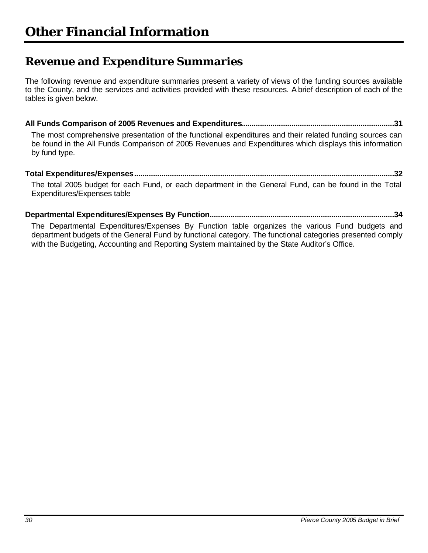## **Revenue and Expenditure Summaries**

The following revenue and expenditure summaries present a variety of views of the funding sources available to the County, and the services and activities provided with these resources. A brief description of each of the tables is given below.

**All Funds Comparison of 2005 Revenues and Expenditures.........................................................................31**

The most comprehensive presentation of the functional expenditures and their related funding sources can be found in the All Funds Comparison of 2005 Revenues and Expenditures which displays this information by fund type.

#### **Total Expenditures/Expenses............................................................................................................................32** The total 2005 budget for each Fund, or each department in the General Fund, can be found in the Total Expenditures/Expenses table

### **Departmental Expenditures/Expenses By Function........................................................................................34**

The Departmental Expenditures/Expenses By Function table organizes the various Fund budgets and department budgets of the General Fund by functional category. The functional categories presented comply with the Budgeting, Accounting and Reporting System maintained by the State Auditor's Office.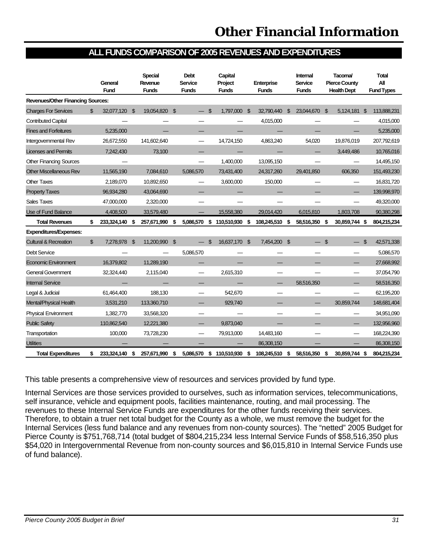### **ALL FUNDS COMPARISON OF 2005 REVENUES AND EXPENDITURES**

|                                          |                | General<br><b>Fund</b> |                | <b>Special</b><br>Revenue<br><b>Funds</b> |     | <b>Debt</b><br><b>Service</b><br><b>Funds</b> |                | Capital<br>Project<br><b>Funds</b> |    | Enterprise<br><b>Funds</b> |                | Internal<br>Service<br><b>Funds</b> |                | Tacoma/<br><b>Pierce County</b><br><b>Health Dept</b> |                | Total<br>All<br><b>Fund Types</b> |
|------------------------------------------|----------------|------------------------|----------------|-------------------------------------------|-----|-----------------------------------------------|----------------|------------------------------------|----|----------------------------|----------------|-------------------------------------|----------------|-------------------------------------------------------|----------------|-----------------------------------|
| <b>Revenues/Other Financing Sources:</b> |                |                        |                |                                           |     |                                               |                |                                    |    |                            |                |                                     |                |                                                       |                |                                   |
| <b>Charges For Services</b>              | \$             | 32,077,120             | \$             | 19,054,820                                | -\$ |                                               | $\mathfrak{S}$ | 1,797,000                          | \$ | 32.790.440                 | $\mathfrak{L}$ | 23,044,670                          | -\$            | 5,124,181                                             | \$             | 113,888,231                       |
| <b>Contributed Capital</b>               |                |                        |                |                                           |     |                                               |                |                                    |    | 4,015,000                  |                |                                     |                |                                                       |                | 4,015,000                         |
| <b>Fines and Forfeitures</b>             |                | 5,235,000              |                |                                           |     |                                               |                |                                    |    |                            |                |                                     |                |                                                       |                | 5,235,000                         |
| Intergovernmental Rev                    |                | 26,672,550             |                | 141.602.640                               |     |                                               |                | 14.724.150                         |    | 4.863.240                  |                | 54.020                              |                | 19.876.019                                            |                | 207,792,619                       |
| <b>Licenses and Permits</b>              |                | 7,242,430              |                | 73,100                                    |     |                                               |                |                                    |    |                            |                |                                     |                | 3,449,486                                             |                | 10,765,016                        |
| <b>Other Financing Sources</b>           |                |                        |                |                                           |     |                                               |                | 1,400,000                          |    | 13,095,150                 |                |                                     |                |                                                       |                | 14,495,150                        |
| <b>Other Miscellaneous Rev</b>           |                | 11,565,190             |                | 7,084,610                                 |     | 5,086,570                                     |                | 73,431,400                         |    | 24,317,260                 |                | 29,401,850                          |                | 606,350                                               |                | 151,493,230                       |
| <b>Other Taxes</b>                       |                | 2,189,070              |                | 10,892,650                                |     |                                               |                | 3,600,000                          |    | 150,000                    |                |                                     |                |                                                       |                | 16,831,720                        |
| <b>Property Taxes</b>                    |                | 96,934,280             |                | 43,064,690                                |     |                                               |                |                                    |    |                            |                |                                     |                |                                                       |                | 139,998,970                       |
| Sales Taxes                              |                | 47,000,000             |                | 2,320,000                                 |     |                                               |                |                                    |    |                            |                |                                     |                |                                                       |                | 49,320,000                        |
| Use of Fund Balance                      |                | 4,408,500              |                | 33,579,480                                |     |                                               |                | 15,558,380                         |    | 29,014,420                 |                | 6,015,810                           |                | 1,803,708                                             |                | 90,380,298                        |
| <b>Total Revenues</b>                    | \$             | 233,324,140            | \$             | 257,671,990                               | \$  | 5,086,570                                     | \$             | 110,510,930                        | \$ | 108,245,510                | \$             | 58,516,350                          | -\$            | 30,859,744 \$                                         |                | 804,215,234                       |
| <b>Expenditures/Expenses:</b>            |                |                        |                |                                           |     |                                               |                |                                    |    |                            |                |                                     |                |                                                       |                |                                   |
| <b>Cultural &amp; Recreation</b>         | $\mathfrak{L}$ | 7,278,978              | $\mathfrak{L}$ | 11,200,990 \$                             |     |                                               | $\mathcal{L}$  | 16.637.170 \$                      |    | 7,454,200 \$               |                |                                     | $\mathfrak{L}$ |                                                       | $\mathfrak{L}$ | 42,571,338                        |
| <b>Debt Service</b>                      |                |                        |                |                                           |     | 5,086,570                                     |                |                                    |    |                            |                |                                     |                |                                                       |                | 5,086,570                         |
| <b>Economic Environment</b>              |                | 16,379,802             |                | 11,289,190                                |     |                                               |                |                                    |    |                            |                |                                     |                |                                                       |                | 27,668,992                        |
| <b>General Government</b>                |                | 32,324,440             |                | 2,115,040                                 |     |                                               |                | 2,615,310                          |    |                            |                |                                     |                |                                                       |                | 37,054,790                        |
| <b>Internal Service</b>                  |                |                        |                |                                           |     |                                               |                |                                    |    |                            |                | 58,516,350                          |                |                                                       |                | 58,516,350                        |
| Legal & Judicial                         |                | 61,464,400             |                | 188,130                                   |     |                                               |                | 542,670                            |    |                            |                |                                     |                |                                                       |                | 62,195,200                        |
| Mental/Physical Health                   |                | 3,531,210              |                | 113,360,710                               |     |                                               |                | 929.740                            |    |                            |                |                                     |                | 30.859.744                                            |                | 148,681,404                       |
| <b>Physical Environment</b>              |                | 1,382,770              |                | 33,568,320                                |     |                                               |                |                                    |    |                            |                |                                     |                |                                                       |                | 34,951,090                        |
| <b>Public Safety</b>                     |                | 110,862,540            |                | 12,221,380                                |     |                                               |                | 9,873,040                          |    |                            |                |                                     |                |                                                       |                | 132,956,960                       |
| Transportation                           |                | 100,000                |                | 73,728,230                                |     |                                               |                | 79,913,000                         |    | 14,483,160                 |                |                                     |                |                                                       |                | 168,224,390                       |
| <b>Utilities</b>                         |                |                        |                |                                           |     |                                               |                |                                    |    | 86,308,150                 |                |                                     |                |                                                       |                | 86,308,150                        |
| <b>Total Expenditures</b>                | \$             | 233,324,140            | \$             | 257,671,990                               | \$  | 5,086,570                                     | \$             | 110,510,930                        | S  | 108,245,510                | -\$            | 58,516,350                          | -\$            | 30,859,744                                            | \$             | 804,215,234                       |

This table presents a comprehensive view of resources and services provided by fund type.

Internal Services are those services provided to ourselves, such as information services, telecommunications, self insurance, vehicle and equipment pools, facilities maintenance, routing, and mail processing. The revenues to these Internal Service Funds are expenditures for the other funds receiving their services. Therefore, to obtain a truer net total budget for the County as a whole, we must remove the budget for the Internal Services (less fund balance and any revenues from non-county sources). The "netted" 2005 Budget for Pierce County is \$751,768,714 (total budget of \$804,215,234 less Internal Service Funds of \$58,516,350 plus \$54,020 in Intergovernmental Revenue from non-county sources and \$6,015,810 in Internal Service Funds use of fund balance).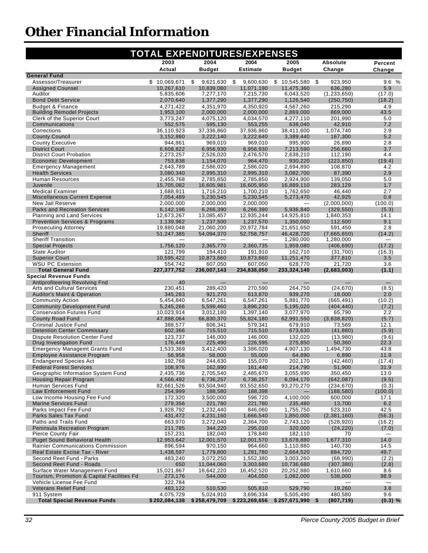| <b>TOTAL EXPENDITURES/EXPENSES</b>                                          |                        |                         |                        |                         |                           |                                    |  |  |
|-----------------------------------------------------------------------------|------------------------|-------------------------|------------------------|-------------------------|---------------------------|------------------------------------|--|--|
|                                                                             | 2003                   | 2004                    | 2004                   | 2005                    | Absolute                  | Percent                            |  |  |
|                                                                             | Actual                 | <b>Budget</b>           | <b>Estimate</b>        | <b>Budget</b>           | Change                    | Change                             |  |  |
| <b>General Fund</b><br>Assessor/Treasurer                                   | \$10,069,671           | \$<br>9,621,630         | \$<br>9,600,630        | 10,545,580<br>\$        | - \$<br>923,950           | 9.6%                               |  |  |
| <b>Assigned Counsel</b>                                                     | 10,267,610             | 10,839,080              | 11.071.190             | 11,475,360              | 636,280                   | 5.9                                |  |  |
| Auditor                                                                     | 5,835,606              | 7,277,170               | 7,215,730              | 6,043,520               | (1,233,650)               | (17.0)                             |  |  |
| <b>Bond Debt Service</b><br><b>Budget &amp; Finance</b>                     | 2,070,640<br>4,271,422 | 1,377,290<br>4,351,970  | 1,377,290<br>4,350,920 | 1,126,540<br>4,567,260  | (250, 750)<br>215,290     | (18.2)<br>4.9                      |  |  |
| <b>Building Remodel Projects</b>                                            | 1,953,100              | 2,000,000               | 2,000,000              | 2,869,000               | 869,000                   | 43.5                               |  |  |
| Clerk of the Superior Court                                                 | 3.773.247              | 4,075,120               | 4.034.570              | 4.277.110               | 201,990                   | 5.0                                |  |  |
| Communications                                                              | 552,575                | 595,130                 | 553,255                | 638,040                 | 42,910                    | 7.2                                |  |  |
| Corrections                                                                 | 36.110.923             | 37,336,860              | 37,936,860             | 38,411,600              | 1,074,740                 | 2.9<br>5.2                         |  |  |
| <b>County Council</b><br><b>County Executive</b>                            | 3,152,860<br>944,861   | 3,222,140<br>969,010    | 3,222,640<br>969,010   | 3,389,440<br>995,900    | 167,300<br>26,890         | 2.8                                |  |  |
| <b>District Court</b>                                                       | 6,608,822              | 6,956,930               | 6,956,930              | 7,213,590               | 256,660                   | 3.7                                |  |  |
| <b>District Court Probation</b>                                             | 2,273,257              | 2,526,020               | 2,476,570              | 2,638,210               | 112,190                   | 4.4                                |  |  |
| <b>Economic Development</b>                                                 | 753,838                | 1,154,070               | 964,470                | 930,220                 | (223, 850)                | (19.4)                             |  |  |
| <b>Emergency Management</b><br><b>Health Services</b>                       | 2,643,789<br>3,080,340 | 2,586,020<br>2,995,310  | 2,586,020<br>2,995,310 | 2,694,890<br>3,082,700  | 108,870<br>87,390         | 4.2<br>2.9                         |  |  |
| <b>Human Resources</b>                                                      | 2.455.768              | 2.785.850               | 2.785.850              | 2,924,900               | 139.050                   | 5.0                                |  |  |
| Juvenile                                                                    | 15,705,082             | 16,605,981              | 16,605,950             | 16,889,110              | 283,129                   | 1.7                                |  |  |
| <b>Medical Examiner</b>                                                     | 1,688,911              | 1,716,210               | 1.700.210              | 1,762,650               | 46,440                    | 2.7                                |  |  |
| Miscellaneous Current Expense<br>New Jail Reserve                           | 7,054,489              | 5,230,545               | 5,230,545<br>2,000,000 | 5,273,470               | 42,925                    | 0.8<br>(100.0)                     |  |  |
| Parks and Recreation Services                                               | 2,000,000<br>6.142.196 | 2,000,000<br>6,266,390  | 6,266,390              | 5,936,840               | (2,000,000)<br>(329, 550) | (5.3)                              |  |  |
| Planning and Land Services                                                  | 12,673,267             | 13,085,457              | 12,935,244             | 14,925,810              | 1,840,353                 | 14.1                               |  |  |
| <b>Prevention Services &amp; Programs</b>                                   | 1,139,962              | 1,237,500               | 1,237,570              | 1.350.000               | 112,500                   | 9.1                                |  |  |
| <b>Prosecuting Attorney</b>                                                 | 19,880,048             | 21,060,200              | 20,972,784             | 21,651,650              | 591,450                   | 2.8                                |  |  |
| Sheriff<br><b>Sheriff Transition</b>                                        | 51,247,385             | 54,094,370              | 52,758,757             | 46,428,720<br>1,280,000 | (7.665.650)<br>1,280,000  | (14.2)<br>$\overline{\phantom{0}}$ |  |  |
| <b>Special Projects</b>                                                     | 1,756,120              | 2,365,770               | 2,360,735              | 1,959,080               | (406, 690)                | (17.2)                             |  |  |
| <b>State Auditor</b>                                                        | 121,799                | 194,410                 | 191,910                | 162,710                 | (31,700)                  | (16.3)                             |  |  |
| <b>Superior Court</b>                                                       | 10,595,422             | 10,873,660              | 10,873,660             | 11,251,470              | 377,810                   | 3.5                                |  |  |
| <b>WSU PC Extension</b><br><b>Total General Fund</b>                        | 554.742<br>227,377,752 | 607,050<br>236,007,143  | 607,050<br>234,838,050 | 628,770<br>233,324,140  | 21.720<br>(2,683,003)     | 3.6<br>(1.1)                       |  |  |
| <b>Special Revenue Funds</b>                                                |                        |                         |                        |                         |                           |                                    |  |  |
| Antiprofiteering Revolving Fnd                                              | 40                     |                         |                        |                         |                           |                                    |  |  |
| <b>Arts and Cultural Services</b>                                           | 230,451                | 289,420                 | 270,590                | 264,750                 | (24, 670)                 | (8.5)                              |  |  |
| <b>Auditor's Maint &amp; Operation</b><br><b>Community Action</b>           | 345,283<br>5,454,840   | 921,270                 | 613,870                | 939,270                 | 18,000<br>(665, 491)      | 2.0<br>(10.2)                      |  |  |
| <b>Community Development Fund</b>                                           | 5,245,266              | 6,547,261<br>5,599,460  | 6,547,261<br>3,896,230 | 5,881,770<br>5,195,020  | (404, 440)                | (7.2)                              |  |  |
| <b>Conservation Futures Fund</b>                                            | 10,023,914             | 3,012,180               | 1,397,140              | 3,077,970               | 65,790                    | 2.2                                |  |  |
| <b>County Road Fund</b>                                                     | 47,888,064             | 66,830,370              | 55,824,180             | 62,991,550              | (3,838,820)               | (5.7)                              |  |  |
| <b>Criminal Justice Fund</b>                                                | 388,577<br>602,366     | 606,341<br>715,510      | 579,341                | 679,910<br>673,630      | 73,569                    | 12.1                               |  |  |
| <b>Detention Center Commissary</b><br><b>Dispute Resolution Center Fund</b> | 123,737                | 146,000                 | 715,510<br>146,000     | 132.020                 | (41, 880)<br>(13,980)     | (5.9)<br>(9.6)                     |  |  |
| Drug Investigation Fund                                                     | 176,449                | 225,490                 | 226,595                | 275,850                 | 50,360                    | 22.3                               |  |  |
| <b>Emergency Managemt Grants Fund</b>                                       | 1,533,369              | 3,412,400               | 3,386,020              | 4,907,130               | 1,494,730                 | 43.8                               |  |  |
| <b>Employee Assistance Program</b>                                          | 56,958                 | 58,000                  | 55,000                 | 64,890                  | 6,890                     | 11.9                               |  |  |
| Endangered Species Act<br><b>Federal Forest Services</b>                    | 192,768<br>108,976     | 244,630<br>162,890      | 155,070<br>161,440     | 202,170<br>214,790      | (42, 460)<br>51,900       | (17.4)<br>31.9                     |  |  |
| Geographic Information System Fund                                          | 2,435,736              | 2,705,540               | 2,485,670              | 3,055,990               | 350,450                   | 13.0                               |  |  |
| <b>Housing Repair Program</b>                                               | 4,566,492              | 6,736,257               | 6,736,257              | 6,094,170               | (642, 087)                | (9.5)                              |  |  |
| Human Services Fund                                                         | 82,661,526             | 93.504.940              | 93,552,650             | 93,270,270              | (234, 670)                | (0.3)                              |  |  |
| Law Enforcement Fund<br>Low Income Housing Fee Fund                         | 254,999<br>172,320     | 188,580<br>3,500,000    | 188,398<br>596,720     | 4,100,000               | (188, 580)<br>600,000     | (100.0)<br>17.1                    |  |  |
| <b>Marine Services Fund</b>                                                 | 279,356                | 221,780                 | 221,780                | 235,480                 | 13,700                    | 6.2                                |  |  |
| Parks Impact Fee Fund                                                       | 1,928,792              | 1,232,440               | 846,060                | 1.755.750               | 523.310                   | 42.5                               |  |  |
| Parks Sales Tax Fund                                                        | 431,472                | 4,231,160               | 1,666,540              | 1,850,000               | (2,381,160)               | (56.3)                             |  |  |
| Paths and Trails Fund<br>Peninsula Recreation Program                       | 663,970<br>211,785     | 3,272,040<br>344.220    | 2,364,700<br>295.010   | 2,743,120<br>320,000    | (528, 920)<br>(24, 220)   | (16.2)<br>(7.0)                    |  |  |
| Pierce County Fair                                                          | 157,231                | 182,040                 | 178,840                | 182,110                 | 70                        |                                    |  |  |
| <b>Puget Sound Behavioral Health</b>                                        | 12,953,642             | 12,001,570              | 12,001,570             | 13,678,880              | 1,677,310                 | 14.0                               |  |  |
| <b>Rainier Communications Commission</b>                                    | 896,594                | 970,150                 | 964,660                | 1,110,880               | 140,730                   | 14.5                               |  |  |
| Real Estate Excise Tax - River                                              | 1,438,597              | 1,779,800               | 1,281,780              | 2,664,520               | 884,720                   | 49.7                               |  |  |
| Second Reet Fund - Parks<br>Second Reet Fund - Roads                        | 483,240<br>650         | 3,072,250<br>11,044,060 | 1,552,380<br>3,303,680 | 3,003,260<br>10,736,680 | (68,990)<br>(307, 380)    | (2.2)<br>(2.8)                     |  |  |
| Surface Water Management Fund                                               | 15,021,867             | 18,642,220              | 16,452,520             | 20,252,880              | 1,610,660                 | 8.6                                |  |  |
| Tourism, Promotion & Capital Facilities Fd.                                 | 273,176                | 544,000                 | 404,050                | 1,082,000               | 538,000                   | 98.9                               |  |  |
| Vehicle License Fee Fund                                                    | 322,784                |                         |                        |                         |                           | $\overline{\phantom{0}}$           |  |  |
| <b>Veterans Relief Fund</b><br>911 System                                   | 483,122<br>4,075,729   | 510,530<br>5,024,910    | 505,810<br>3,696,334   | 529,790<br>5,505,490    | 19,260<br>480,580         | 3.8<br>9.6                         |  |  |
| <b>Total Special Revenue Funds</b>                                          | \$202,084,138          | \$258,479,709           | \$223,269,656          | $$257,671,990$ \$       | (807, 719)                | (0.3) %                            |  |  |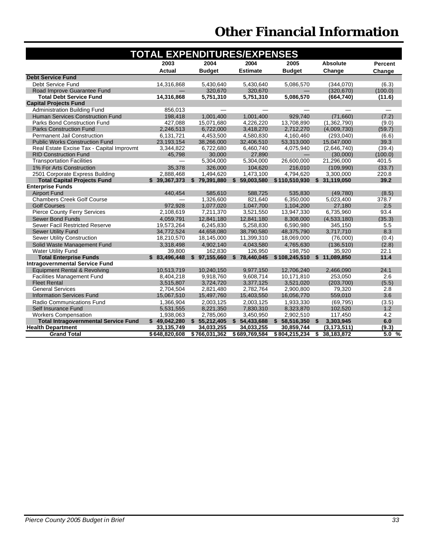| <b>TOTAL EXPENDITURES/EXPENSES</b>          |               |               |                 |               |                            |                |  |  |  |
|---------------------------------------------|---------------|---------------|-----------------|---------------|----------------------------|----------------|--|--|--|
|                                             | 2003          | 2004          | 2004            | 2005          | <b>Absolute</b>            | <b>Percent</b> |  |  |  |
|                                             | <b>Actual</b> | <b>Budget</b> | <b>Estimate</b> | <b>Budget</b> | Change                     | Change         |  |  |  |
| <b>Debt Service Fund</b>                    |               |               |                 |               |                            |                |  |  |  |
| Debt Service Fund                           | 14,316,868    | 5.430.640     | 5.430.640       | 5,086,570     | (344.070)                  | (6.3)          |  |  |  |
| Road Improve Guarantee Fund                 |               | 320,670       | 320,670         |               | (320, 670)                 | (100.0)        |  |  |  |
| <b>Total Debt Service Fund</b>              | 14,316,868    | 5,751,310     | 5,751,310       | 5,086,570     | (664, 740)                 | (11.6)         |  |  |  |
| <b>Capital Projects Fund</b>                |               |               |                 |               |                            |                |  |  |  |
| <b>Administration Building Fund</b>         | 856.013       |               |                 |               |                            |                |  |  |  |
| <b>Human Services Construction Fund</b>     | 198,418       | 1,001,400     | 1,001,400       | 929,740       | (71,660)                   | (7.2)          |  |  |  |
| <b>Parks Bond Construction Fund</b>         | 427,088       | 15,071,680    | 4,226,220       | 13,708,890    | (1,362,790)                | (9.0)          |  |  |  |
| <b>Parks Construction Fund</b>              | 2,246,513     | 6,722,000     | 3,418,270       | 2,712,270     | (4,009,730)                | (59.7)         |  |  |  |
| <b>Permanent Jail Construction</b>          | 6.131.721     | 4.453.500     | 4.580.830       | 4.160.460     | (293.040)                  | (6.6)          |  |  |  |
| <b>Public Works Construction Fund</b>       | 23.193.154    | 38.266.000    | 32.406.510      | 53.313.000    | 15.047.000                 | 39.3           |  |  |  |
| Real Estate Excise Tax - Capital Improvmt   | 3,344,822     | 6,722,680     | 6,460,740       | 4,075,940     | (2,646,740)                | (39.4)         |  |  |  |
| <b>RID Construction Fund</b>                | 45.798        | 30,000        | 27,890          |               | (30,000)                   | (100.0)        |  |  |  |
| <b>Transportation Facilities</b>            |               | 5,304,000     | 5,304,000       | 26,600,000    | 21,296,000                 | 401.5          |  |  |  |
| 1% For Arts Construction                    | 35.378        | 326,000       | 104.620         | 216.010       | (109.990)                  | (33.7)         |  |  |  |
| 2501 Corporate Express Building             | 2,888,468     | 1,494,620     | 1,473,100       | 4,794,620     | 3,300,000                  | 220.8          |  |  |  |
| <b>Total Capital Projects Fund</b>          | \$39,367,373  | \$79,391,880  | \$59,003,580    |               | \$110,510,930 \$31,119,050 | 39.2           |  |  |  |
| <b>Enterprise Funds</b>                     |               |               |                 |               |                            |                |  |  |  |
| <b>Airport Fund</b>                         | 440.454       | 585.610       | 588.725         | 535.830       | (49.780)                   | (8.5)          |  |  |  |
| <b>Chambers Creek Golf Course</b>           |               | 1,326,600     | 821,640         | 6,350,000     | 5,023,400                  | 378.7          |  |  |  |
| <b>Golf Courses</b>                         | 972,928       | 1,077,020     | 1,047,700       | 1,104,200     | 27,180                     | 2.5            |  |  |  |
| Pierce County Ferry Services                | 2,108,619     | 7,211,370     | 3,521,550       | 13,947,330    | 6,735,960                  | 93.4           |  |  |  |
| <b>Sewer Bond Funds</b>                     | 4.059.791     | 12,841,180    | 12,841,180      | 8.308.000     | (4,533,180)                | (35.3)         |  |  |  |
| Sewer Facil Restricted Reserve              | 19.573.264    | 6.245.830     | 5.258.830       | 6.590.980     | 345.150                    | 5.5            |  |  |  |
| <b>Sewer Utility Fund</b>                   | 34,772,524    | 44,658,080    | 38,790,580      | 48,375,790    | 3,717,710                  | 8.3            |  |  |  |
| <b>Sewer Utility Construction</b>           | 18,210,570    | 18,145,000    | 11,399,310      | 18,069,000    | (76,000)                   | (0.4)          |  |  |  |
| Solid Waste Management Fund                 | 3.318.498     | 4,902,140     | 4,043,580       | 4,765,630     | (136, 510)                 | (2.8)          |  |  |  |
| Water Utility Fund                          | 39.800        | 162.830       | 126.950         | 198.750       | 35.920                     | 22.1           |  |  |  |
| <b>Total Enterprise Funds</b>               | \$83,496,448  | \$97,155,660  | \$78,440,045    |               | \$108,245,510 \$11,089,850 | 11.4           |  |  |  |
| <b>Intragovernmental Service Fund</b>       |               |               |                 |               |                            |                |  |  |  |
| Equipment Rental & Revolving                | 10,513,719    | 10.240.150    | 9.977.150       | 12,706,240    | 2.466.090                  | 24.1           |  |  |  |
| <b>Facilities Management Fund</b>           | 8,404,218     | 9,918,760     | 9.608.714       | 10,171,810    | 253.050                    | 2.6            |  |  |  |
| <b>Fleet Rental</b>                         | 3.515.807     | 3.724.720     | 3.377.125       | 3.521.020     | (203.700)                  | (5.5)          |  |  |  |
| <b>General Services</b>                     | 2,704,504     | 2,821,480     | 2,782,764       | 2,900,800     | 79,320                     | 2.8            |  |  |  |
| <b>Information Services Fund</b>            | 15,067,510    | 15,497,760    | 15,403,550      | 16,056,770    | 559,010                    | 3.6            |  |  |  |
| <b>Radio Communications Fund</b>            | 1.366.904     | 2.003.125     | 2.003.125       | 1.933.330     | (69.795)                   | (3.5)          |  |  |  |
| Self Insurance Fund                         | 5,531,555     | 8,221,350     | 7,830,310       | 8,323,870     | 102,520                    | 1.2            |  |  |  |
| <b>Workers Compensation</b>                 | 1,938,063     | 2,785,060     | 3,450,950       | 2,902,510     | 117,450                    | 4.2            |  |  |  |
| <b>Total Intragovernmental Service Fund</b> | \$49,042,280  | \$5,212,405   | \$54,433,688    | \$58,516,350  | 3,303,945<br>Ŝ.            | 6.0            |  |  |  |
| <b>Health Department</b>                    | 33,135,749    | 34,033,255    | 34,033,255      | 30,859,744    | (3, 173, 511)              | (9.3)          |  |  |  |
| <b>Grand Total</b>                          | \$648,820,608 | \$766,031,362 | \$689,769,584   | \$804,215,234 | \$<br>38,183,872           | 5.0%           |  |  |  |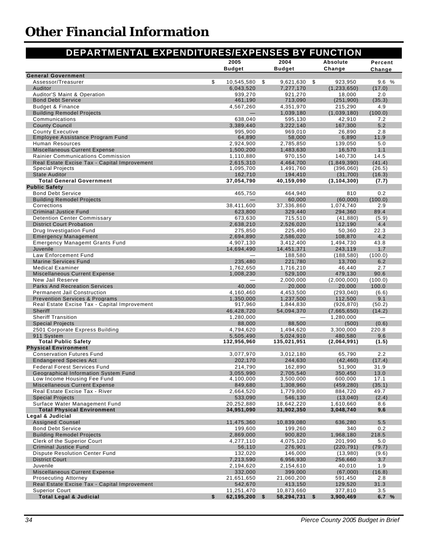#### **2005 Budget 2004 Budget Absolute Change General Government** Assessor/Treasurer \$ 10.545.580 \$ 9.621.630 \$ 923.950 9.6 % Auditor 6,043,520 7,277,170 (1,233,650) (17.0) Auditor'S Maint & Operation **6. 1999, 1999, 1999, 1999, 270** 921,270 921,270 921,270 18,000 9.0 Bond Debt Service **461,190 713,090** (251,900) **(35.3**) **461,190 713,090** (251,900) **(35.3**) Budget & Finance 4,567,260 4,351,970 215,290 4.9 Building Remodel Projects — 1,039,180 (1,039,180) (100.0) Communications 638,040 595,130 42,910 7.2 County Council 3,389,440 3,222,140 167,300 5.2 County Executive 995,900 969,010 26,890 2.8 Employee Assistance Program Fund **64,890** 64,890 58,000 6,890 6,890 11.9 Human Resources 2,924,900 2,785,850 139,050 5.0 Miscellaneous Current Expense 1,100,200 1,500,200 1,483,630 16,570 1.1 Rainier Communications Commission 1,110,880 970,150 140,730 14.5 Real Estate Excise Tax - Capital Improvement 2,615,310 4,464,700 (1,849,390) (41.4) Special Projects 1,095,700 1,491,760 (396,060) (26.5) State Auditor 162,710 194,410 (31,700) (16.3) **Total General Government 37,054,790 40,159,090 (3,104,300) (7.7) Public Safety** Bond Debt Service 465,750 464,940 810 0.2 Building Remodel Projects — 60,000 (60,000) (100.0) Corrections 38,411,600 37,336,860 1,074,740 2.9 Criminal Justice Fund 623,800 329,440 294,360 89.4 Detention Center Commissary 673,630 715,510 (41,880) (5.9) District Court Probation 2,638,210 2,526,020 112,190 4.4 Drug Investigation Fund 275,850 225,490 50,360 22.3 Emergency Management 2,694,890 2,586,020 108,870 4.2 Emergency Managemt Grants Fund 1.88 (2008) 43.8 (2008) 43.8 (2019) 43.8 (2019) 43.8 Juvenile 14,694,490 14,451,371 243,119 1.7 Law Enforcement Fund — 188,580 (188,580) (100.0) Marine Services Fund 235,480 221,780 13,700 6.2 Medical Examiner 1,762,650 1,716,210 46,440 2.7 Miscellaneous Current Expense 1,008,230 529,100 479,130 90.6 New Jail Reserve — 2,000,000 (2,000,000) (100.0) Parks And Recreation Services **100.00** 20,000 20,000 20,000 20,000 20,000 20,000 20,000 20,000 100.0 Permanent Jail Construction 4,160,460 4,453,500 (293,040) (6.6) Prevention Services & Programs<br>
Real Estate Excise Tax - Capital Improvement<br>
Real Estate Excise Tax - Capital Improvement<br>
1,844,830 (926,870) (50.2) Real Estate Excise Tax - Capital Improvement 917,960 1,844,830 (926,870) Sheriff 46,428,720 54,094,370 (7,665,650) (14.2) Sheriff Transition 1,280,000 — 1,280,000 — Special Projects 68,000 88,500 (500) (500) 2501 Corporate Express Building 4,794,620 1,494,620 3,300,000 220.8 911 System 5,505,490 5,024,910 480,580 9.6 **Total Public Safety 132,956,960 135,021,951 (2,064,991) (1.5) Physical Environment** Conservation Futures Fund 3,077,970 3,012,180 65,790 2.2 Endangered Species Act 202,170 244,630 (42,460) (17.4) Federal Forest Services Fund 214,790 162,890 51,900 31.9 Geographical Information System Fund 3000 3,055,990 2,705,540 350,450 13.0 Low Income Housing Fee Fund 4,100,000 3,500,000 600,000 17.1 Miscellaneous Current Expense 849,680 1,308,960 (459,280) (35.1) Real Estate Excise Tax - River 2008 2,664,520 1,779,800 884,720 49.7 Special Projects (13,040) (2.4) (2.4) (33,090 546,130 (13,040) (2.4) Surface Water Management Fund 20,252,880 18,642,220 1,610,660 8.6 **Total Physical Environment 34,951,090 31,902,350 3,048,740 9.6 Legal & Judicial** Assigned Counsel **11,475,360** 10,839,080 636,280 5.5 Bond Debt Service 199,600 199,260 340 0.2 Building Remodel Projects 2,869,000 900,820 1,968,180 218.5 Clerk of the Superior Court 4,277,110 4,075,120 201,990 5.0 Criminal Justice Fund 56,110 276,901 (220,791) (79.7) Dispute Resolution Center Fund 132,020 146,000 (13,980) (9.6) District Court 7,213,590 6,956,930 256,660 3.7 Juvenile 2,194,620 2,154,610 40,010 1.9 Miscellaneous Current Expense 332,000 332,000 399,000 399,000 399,000 (67,000) (16.8) Prosecuting Attorney 21,651,650 21,060,200 591,450 2.8 Real Estate Excise Tax - Capital Improvement 642,670 413,150 413,150 129,520 31.3 Superior Court 11,251,470 10,873,660 377,810 3.5 **Total Legal & Judicial \$ 62,195,200 \$ 58,294,731 \$ 3,900,469 6.7 % DEPARTMENTAL EXPENDITURES/EXPENSES BY FUNCTION Percent Change**